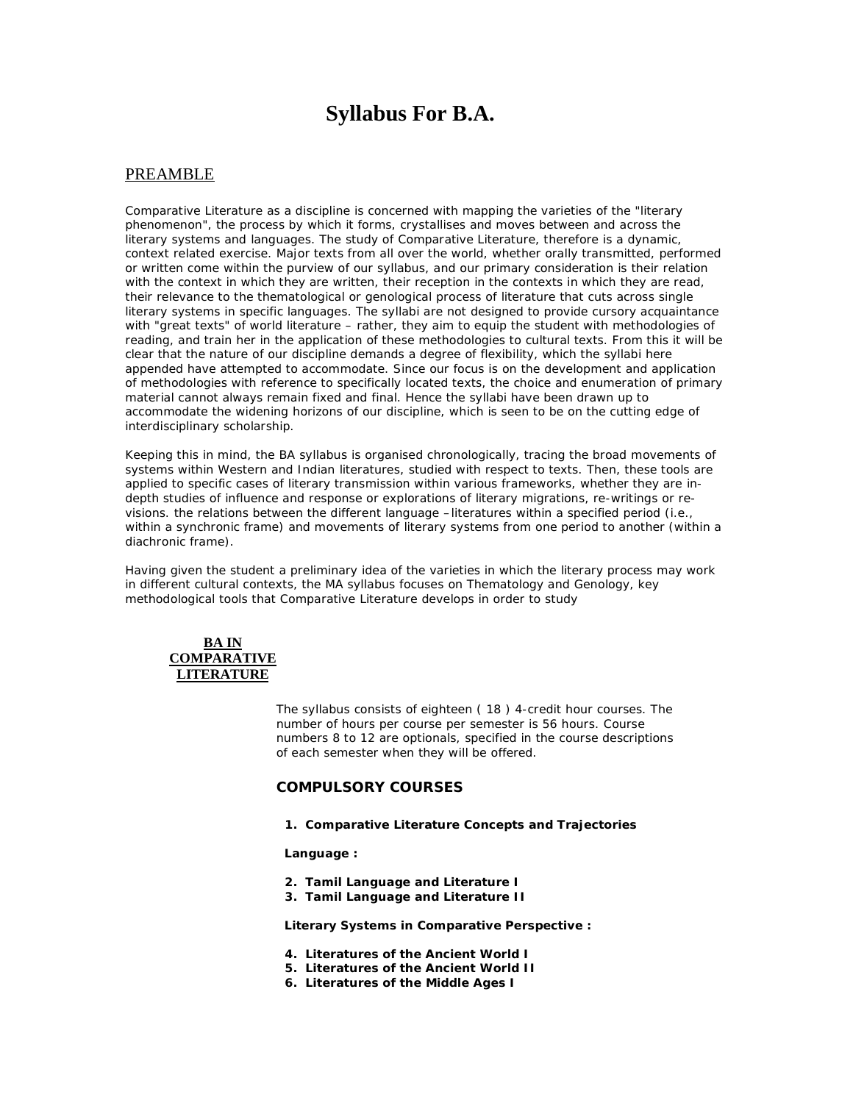# **Syllabus For B.A.**

# PREAMBLE

Comparative Literature as a discipline is concerned with mapping the varieties of the "literary phenomenon", the process by which it forms, crystallises and moves between and across the literary systems and languages. The study of Comparative Literature, therefore is a dynamic, context related exercise. Major texts from all over the world, whether orally transmitted, performed or written come within the purview of our syllabus, and our primary consideration is their relation with the context in which they are written, their reception in the contexts in which they are read, their relevance to the thematological or genological process of literature that cuts across single literary systems in specific languages. The syllabi are not designed to provide cursory acquaintance with "great texts" of world literature – rather, they aim to equip the student with methodologies of reading, and train her in the application of these methodologies to cultural texts. From this it will be clear that the nature of our discipline demands a degree of flexibility, which the syllabi here appended have attempted to accommodate. Since our focus is on the development and application of methodologies with reference to specifically located texts, the choice and enumeration of primary material cannot always remain fixed and final. Hence the syllabi have been drawn up to accommodate the widening horizons of our discipline, which is seen to be on the cutting edge of interdisciplinary scholarship.

Keeping this in mind, the BA syllabus is organised chronologically, tracing the broad movements of systems within Western and Indian literatures, studied with respect to texts. Then, these tools are applied to specific cases of literary transmission within various frameworks, whether they are indepth studies of influence and response or explorations of literary migrations, re-writings or revisions. the relations between the different language –literatures within a specified period (i.e., within a synchronic frame) and movements of literary systems from one period to another (within a diachronic frame).

Having given the student a preliminary idea of the varieties in which the literary process may work in different cultural contexts, the MA syllabus focuses on Thematology and Genology, key methodological tools that Comparative Literature develops in order to study

## **BA IN COMPARATIVE LITERATURE**

The syllabus consists of eighteen ( 18 ) 4-credit hour courses. The number of hours per course per semester is 56 hours. Course numbers 8 to 12 are optionals, specified in the course descriptions of each semester when they will be offered.

## **COMPULSORY COURSES**

**1. Comparative Literature Concepts and Trajectories**

### *Language :*

- **2. Tamil Language and Literature I**
- **3. Tamil Language and Literature II**

### *Literary Systems in Comparative Perspective :*

- **4. Literatures of the Ancient World I**
- **5. Literatures of the Ancient World II**
- **6. Literatures of the Middle Ages I**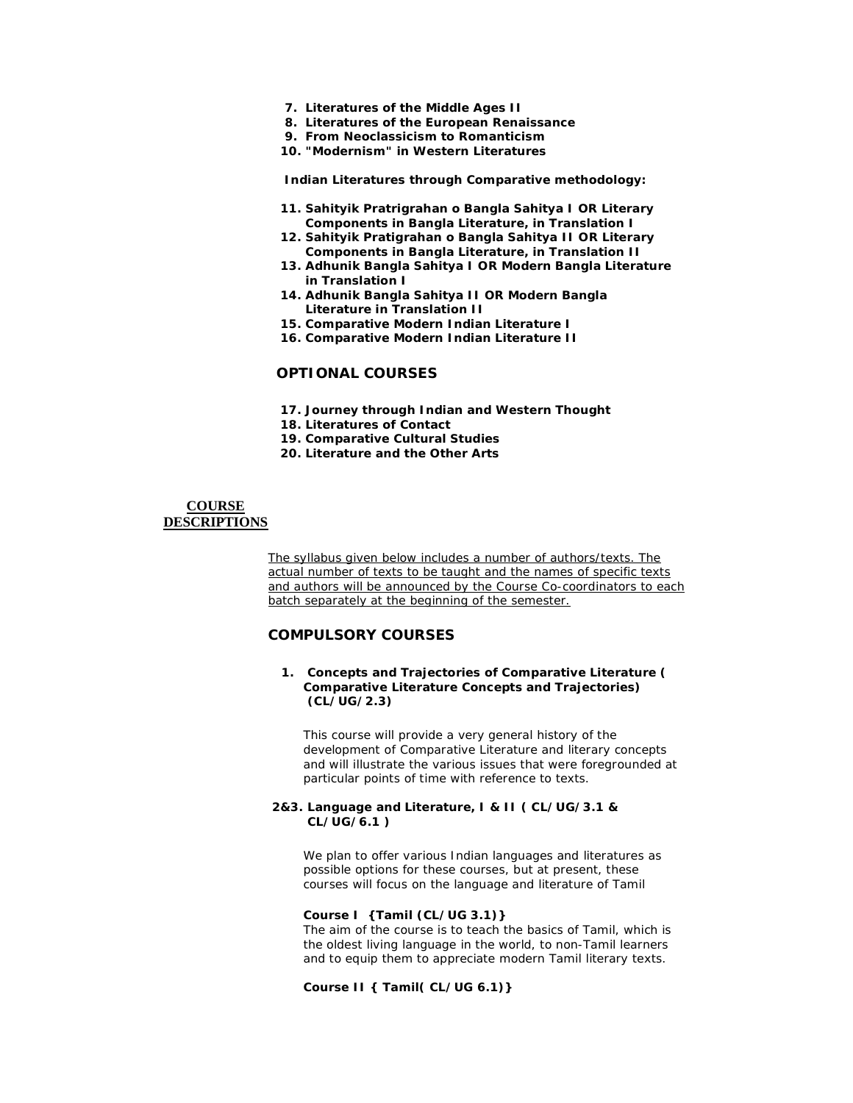- **7. Literatures of the Middle Ages II**
- **8. Literatures of the European Renaissance**
- **9. From Neoclassicism to Romanticism**
- **10. "Modernism" in Western Literatures**

*Indian Literatures through Comparative methodology:*

- **11. Sahityik Pratrigrahan o Bangla Sahitya I OR Literary Components in Bangla Literature, in Translation I**
- **12. Sahityik Pratigrahan o Bangla Sahitya II OR Literary Components in Bangla Literature, in Translation II**
- **13. Adhunik Bangla Sahitya I OR Modern Bangla Literature in Translation I**
- **14. Adhunik Bangla Sahitya II OR Modern Bangla Literature in Translation II**
- **15. Comparative Modern Indian Literature I**
- **16. Comparative Modern Indian Literature II**

## **OPTIONAL COURSES**

- **17. Journey through Indian and Western Thought**
- **18. Literatures of Contact**
- **19. Comparative Cultural Studies**
- **20. Literature and the Other Arts**

### **COURSE DESCRIPTIONS**

The syllabus given below includes a number of authors/texts. The actual number of texts to be taught and the names of specific texts and authors will be announced by the Course Co-coordinators to each batch separately at the beginning of the semester.

# **COMPULSORY COURSES**

### **1. Concepts and Trajectories of Comparative Literature ( Comparative Literature Concepts and Trajectories) (CL/UG/2.3)**

This course will provide a very general history of the development of Comparative Literature and literary concepts and will illustrate the various issues that were foregrounded at particular points of time with reference to texts.

### **2&3. Language and Literature, I & II ( CL/UG/3.1 & CL/UG/6.1 )**

We plan to offer various Indian languages and literatures as possible options for these courses, but at present, these courses will focus on the language and literature of Tamil

### **Course I {Tamil (CL/UG 3.1)}**

The aim of the course is to teach the basics of Tamil, which is the oldest living language in the world, to non-Tamil learners and to equip them to appreciate modern Tamil literary texts.

**Course II { Tamil( CL/UG 6.1)}**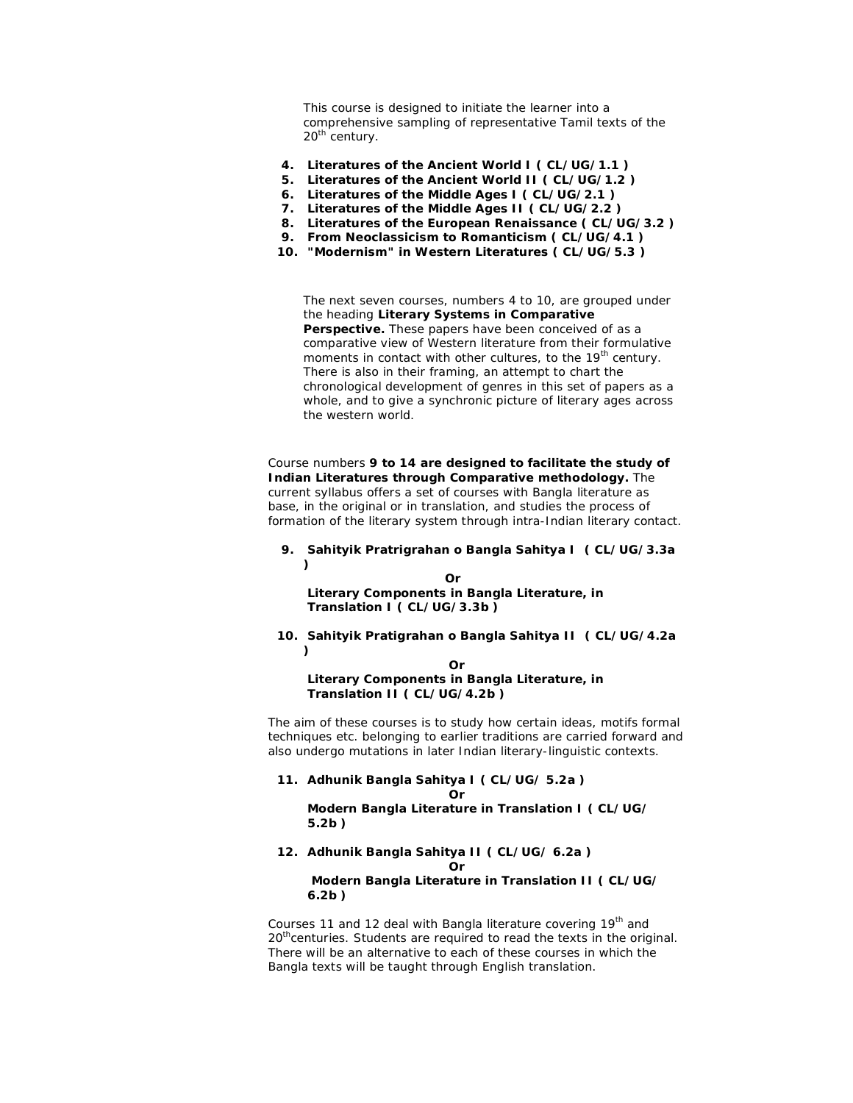This course is designed to initiate the learner into a comprehensive sampling of representative Tamil texts of the 20<sup>th</sup> century.

- **4. Literatures of the Ancient World I ( CL/UG/1.1 )**
- **5. Literatures of the Ancient World II ( CL/UG/1.2 )**
- **6. Literatures of the Middle Ages I ( CL/UG/2.1 )**
- **7. Literatures of the Middle Ages II ( CL/UG/2.2 )**
- **8. Literatures of the European Renaissance ( CL/UG/3.2 )**
- **9. From Neoclassicism to Romanticism ( CL/UG/4.1 )**
- **10. "Modernism" in Western Literatures ( CL/UG/5.3 )**

The next seven courses, numbers 4 to 10, are grouped under the heading **Literary Systems in Comparative Perspective.** These papers have been conceived of as a comparative view of Western literature from their formulative moments in contact with other cultures, to the 19<sup>th</sup> century. There is also in their framing, an attempt to chart the chronological development of genres in this set of papers as a whole, and to give a synchronic picture of literary ages across the western world.

Course numbers **9 to 14 are designed to facilitate the study of Indian Literatures through Comparative methodology.** The current syllabus offers a set of courses with Bangla literature as base, in the original or in translation, and studies the process of formation of the literary system through intra-Indian literary contact.

### **9. Sahityik Pratrigrahan o Bangla Sahitya I ( CL/UG/3.3a )**

 *Orientation of the Orientation of the Orientation of the Orientation of the Orientation of the Orientation of the Orientation of the Orientation of the Orientation of the Orientation of the Orientation of the Orientatio* **Literary Components in Bangla Literature, in Translation I ( CL/UG/3.3b )**

#### **10. Sahityik Pratigrahan o Bangla Sahitya II ( CL/UG/4.2a )**

### **Or Or Or Literary Components in Bangla Literature, in Translation II ( CL/UG/4.2b )**

The aim of these courses is to study how certain ideas, motifs formal techniques etc. belonging to earlier traditions are carried forward and also undergo mutations in later Indian literary-linguistic contexts.

**11. Adhunik Bangla Sahitya I ( CL/UG/ 5.2a ) Oriented States (States)** 

> **Modern Bangla Literature in Translation I ( CL/UG/ 5.2b )**

#### **12. Adhunik Bangla Sahitya II ( CL/UG/ 6.2a ) Oriented States (States)**

**Modern Bangla Literature in Translation II ( CL/UG/ 6.2b )**

Courses 11 and 12 deal with Bangla literature covering 19<sup>th</sup> and  $20<sup>th</sup>$  centuries. Students are required to read the texts in the original. There will be an alternative to each of these courses in which the Bangla texts will be taught through English translation.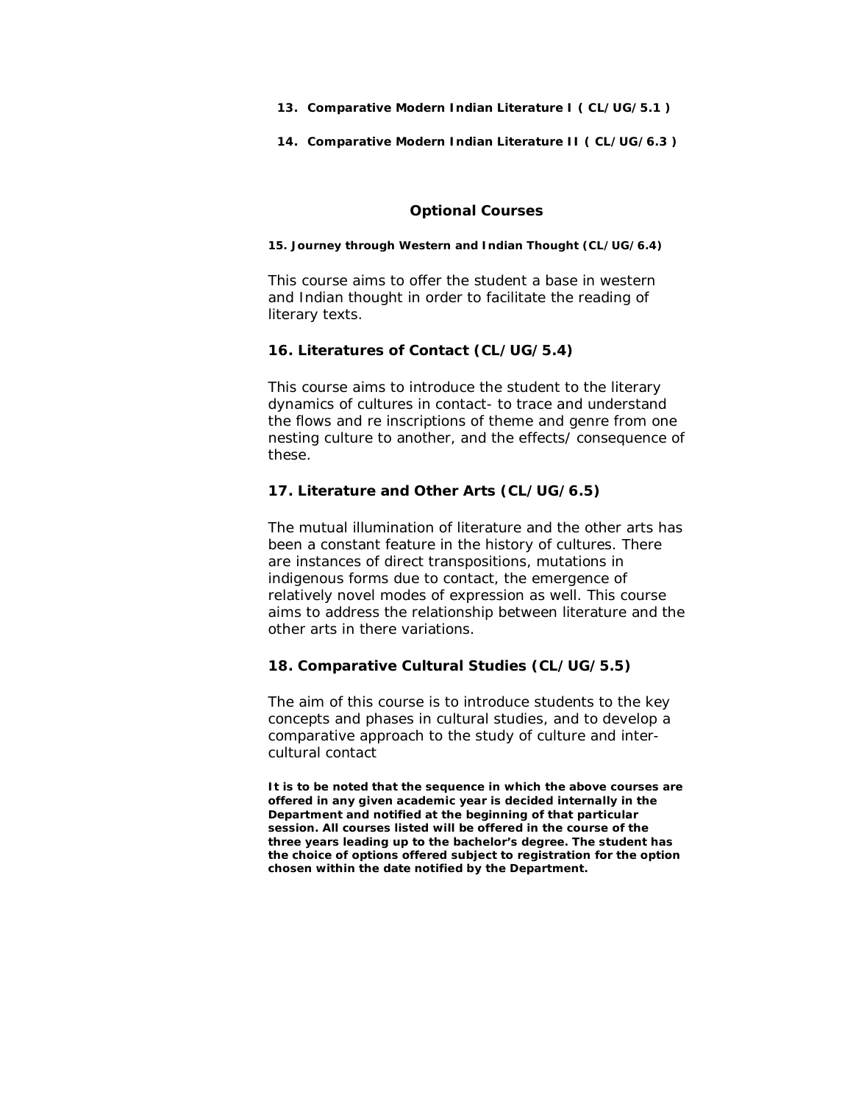- **13. Comparative Modern Indian Literature I ( CL/UG/5.1 )**
- **14. Comparative Modern Indian Literature II ( CL/UG/6.3 )**

# **Optional Courses**

### **15. Journey through Western and Indian Thought (CL/UG/6.4)**

This course aims to offer the student a base in western and Indian thought in order to facilitate the reading of literary texts.

## **16. Literatures of Contact (CL/UG/5.4)**

This course aims to introduce the student to the literary dynamics of cultures in contact- to trace and understand the flows and re inscriptions of theme and genre from one nesting culture to another, and the effects/ consequence of these.

# **17. Literature and Other Arts (CL/UG/6.5)**

The mutual illumination of literature and the other arts has been a constant feature in the history of cultures. There are instances of direct transpositions, mutations in indigenous forms due to contact, the emergence of relatively novel modes of expression as well. This course aims to address the relationship between literature and the other arts in there variations.

## **18. Comparative Cultural Studies (CL/UG/5.5)**

The aim of this course is to introduce students to the key concepts and phases in cultural studies, and to develop a comparative approach to the study of culture and intercultural contact

**It is to be noted that the sequence in which the above courses are offered in any given academic year is decided internally in the Department and notified at the beginning of that particular session. All courses listed will be offered in the course of the three years leading up to the bachelor's degree. The student has the choice of options offered subject to registration for the option chosen within the date notified by the Department.**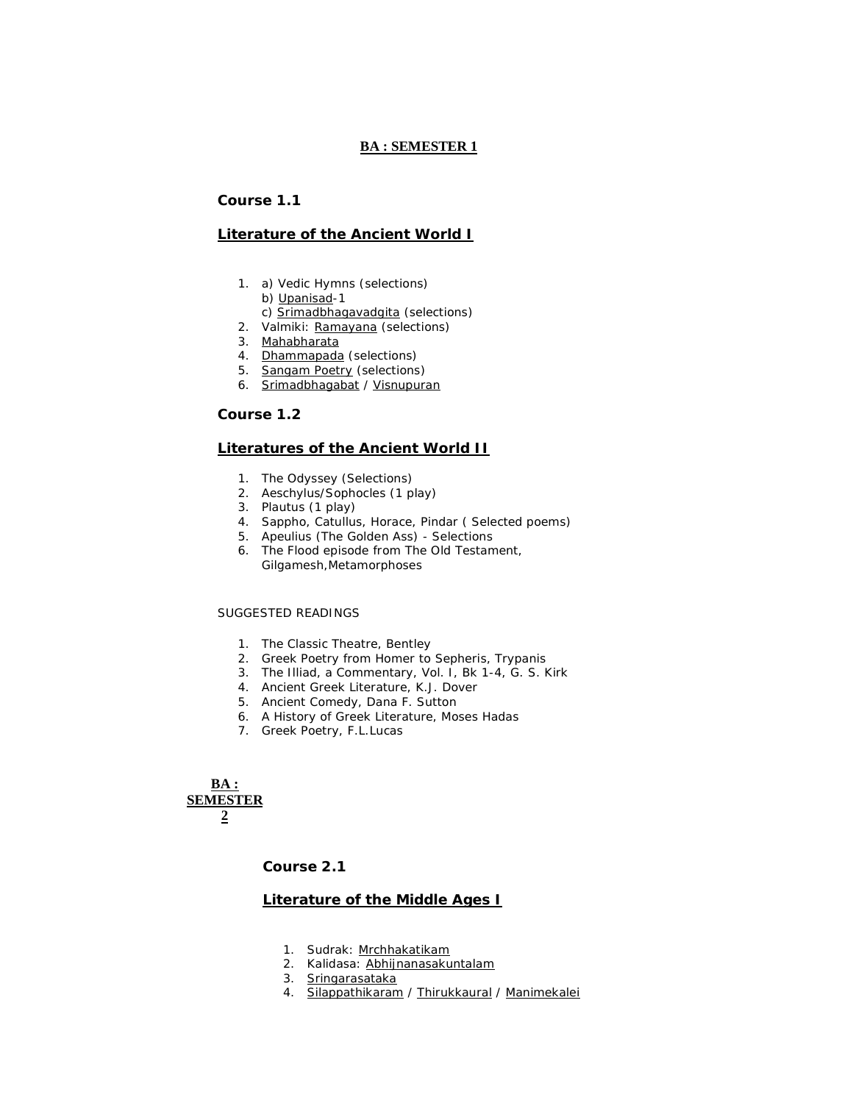## **BA : SEMESTER 1**

## **Course 1.1**

### **Literature of the Ancient World I**

- 1. a) Vedic Hymns (selections)
	- b) Upanisad-1
	- c) Srimadbhagavadgita (selections)
- 2. Valmiki: Ramayana (selections)
- 3. Mahabharata
- 4. Dhammapada (selections)
- 5. Sangam Poetry (selections)
- 6. Srimadbhagabat / Visnupuran

### **Course 1.2**

### **Literatures of the Ancient World II**

- 1. *The Odyssey* (Selections)
- 2. Aeschylus/Sophocles (1 play)
- 3. Plautus (1 play)
- 4. Sappho, Catullus, Horace, Pindar ( Selected poems)
- 5. Apeulius *(The Golden Ass)* Selections
- 6. The Flood episode from The Old Testament, Gilgamesh,*Metamorphoses*

## SUGGESTED READINGS

- 1. *The Classic Theatre*, Bentley
- 2. *Greek Poetry from Homer to Sepheris*, Trypanis
- 3. *The Illiad*, a Commentary, Vol. I, Bk 1-4, G. S. Kirk
- 4. *Ancient Greek Literature*, K.J. Dover
- 5. *Ancient Comedy*, Dana F. Sutton
- 6. *A History of Greek Literature*, Moses Hadas
- 7. *Greek Poetry*, F.L.Lucas

**BA : SEMESTER 2**

**Course 2.1**

### **Literature of the Middle Ages I**

- 1. Sudrak: Mrchhakatikam
- 2. Kalidasa: Abhijnanasakuntalam
- 3. Sringarasataka
- 4. Silappathikaram / Thirukkaural / Manimekalei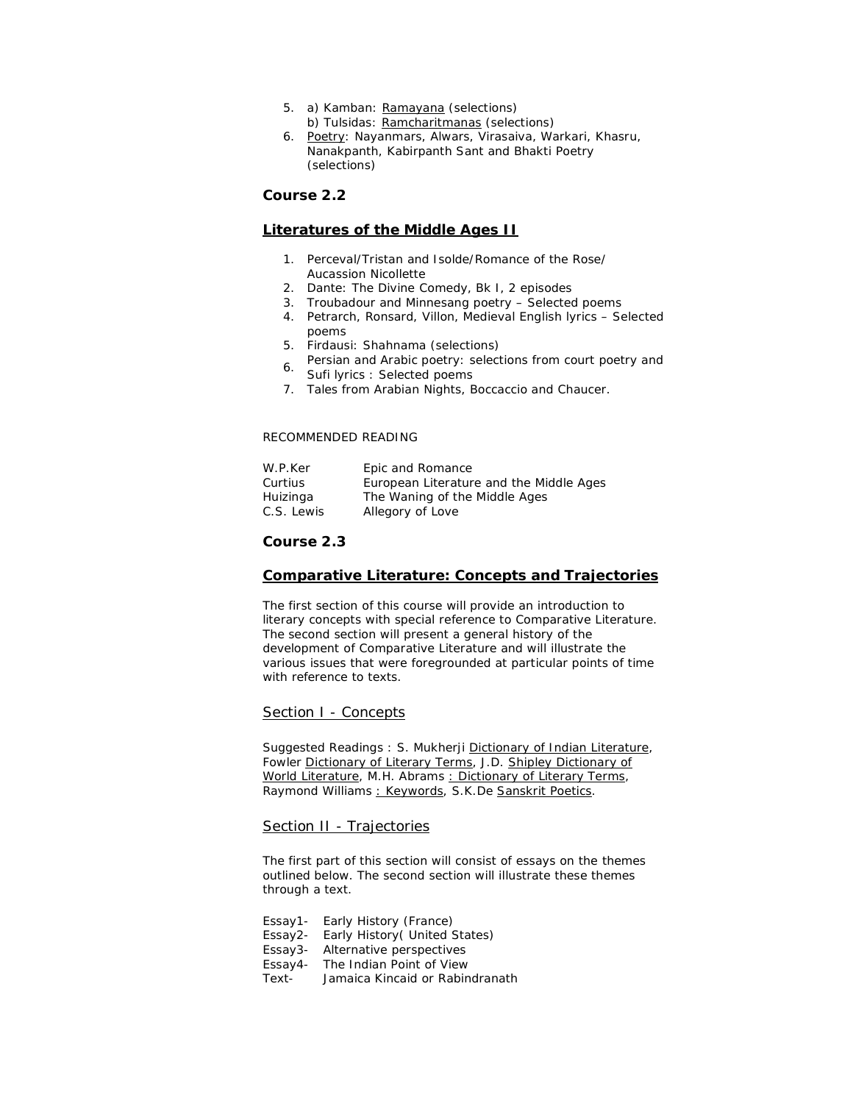- 5. a) Kamban: Ramayana (selections) b) Tulsidas: Ramcharitmanas (selections)
- 6. Poetry: Nayanmars, Alwars, Virasaiva, Warkari, Khasru, Nanakpanth, Kabirpanth Sant and Bhakti Poetry (selections)

## **Course 2.2**

## **Literatures of the Middle Ages II**

- 1. Perceval/Tristan and Isolde/Romance of the Rose/ Aucassion Nicollette
- 2. Dante: The Divine Comedy, Bk I, 2 episodes
- 3. Troubadour and Minnesang poetry Selected poems
- 4. Petrarch, Ronsard, Villon, Medieval English lyrics Selected poems
- 5. Firdausi: Shahnama (selections)
- 6. Persian and Arabic poetry: selections from court poetry and Sufi lyrics : Selected poems
- 7. Tales from *Arabian Nights*, Boccaccio and Chaucer.

### RECOMMENDED READING

| W.P.Ker    | Epic and Romance                        |
|------------|-----------------------------------------|
| Curtius    | European Literature and the Middle Ages |
| Huizinga   | The Waning of the Middle Ages           |
| C.S. Lewis | Allegory of Love                        |

## **Course 2.3**

### **Comparative Literature: Concepts and Trajectories**

The first section of this course will provide an introduction to literary concepts with special reference to Comparative Literature. The second section will present a general history of the development of Comparative Literature and will illustrate the various issues that were foregrounded at particular points of time with reference to texts.

### Section I - Concepts

Suggested Readings : S. Mukherji Dictionary of Indian Literature, Fowler Dictionary of Literary Terms, J.D. Shipley Dictionary of World Literature, M.H. Abrams : Dictionary of Literary Terms, Raymond Williams : Keywords, S.K.De Sanskrit Poetics.

### Section II - Trajectories

The first part of this section will consist of essays on the themes outlined below. The second section will illustrate these themes through a text.

Essay1- Early History (France) Essay2- Early History( United States) Essay3- Alternative perspectives Essay4- The Indian Point of View Text- Jamaica Kincaid or Rabindranath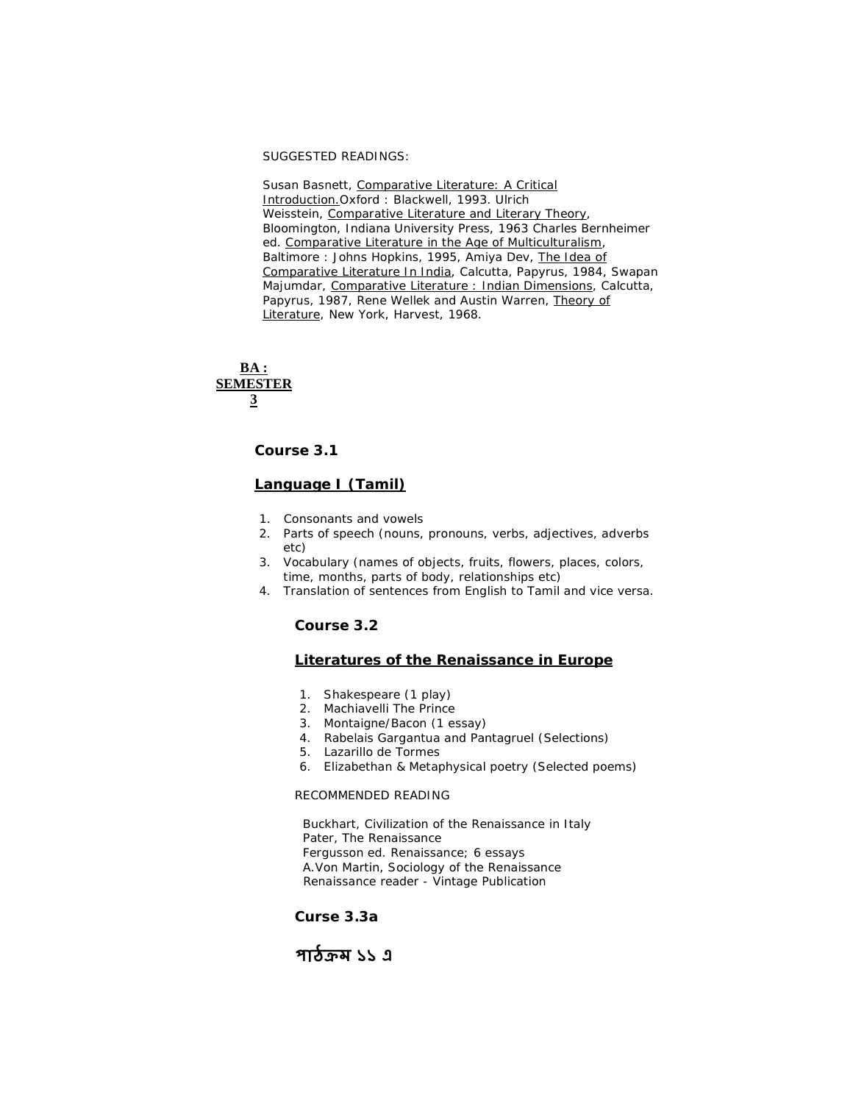SUGGESTED READINGS:

Susan Basnett, Comparative Literature: A Critical Introduction.Oxford : Blackwell, 1993. Ulrich Weisstein, Comparative Literature and Literary Theory, Bloomington, Indiana University Press, 1963 Charles Bernheimer ed. Comparative Literature in the Age of Multiculturalism, Baltimore : Johns Hopkins, 1995, Amiya Dev, The Idea of Comparative Literature In India, Calcutta, Papyrus, 1984, Swapan Majumdar, Comparative Literature : Indian Dimensions, Calcutta, Papyrus, 1987, Rene Wellek and Austin Warren, Theory of Literature, New York, Harvest, 1968.

## **BA : SEMESTER 3**

**Course 3.1**

# **Language I (Tamil)**

- 1. Consonants and vowels
- 2. Parts of speech (nouns, pronouns, verbs, adjectives, adverbs etc)
- 3. Vocabulary (names of objects, fruits, flowers, places, colors, time, months, parts of body, relationships etc)
- 4. Translation of sentences from English to Tamil and vice versa.

## **Course 3.2**

## **Literatures of the Renaissance in Europe**

- 1. Shakespeare (1 play)
- 2. Machiavelli *The Prince*
- 3. Montaigne/Bacon (1 essay)
- 4. Rabelais *Gargantua and Pantagruel* (Selections)
- 5. *Lazarillo de Tormes*
- 6. Elizabethan & Metaphysical poetry (Selected poems)

### RECOMMENDED READING

 Buckhart, Civilization of the Renaissance in Italy Pater, The Renaissance Fergusson ed. Renaissance; 6 essays A.Von Martin, Sociology of the Renaissance Renaissance reader - Vintage Publication

## **Curse 3.3a**

# **পাঠƠম ১১ এ**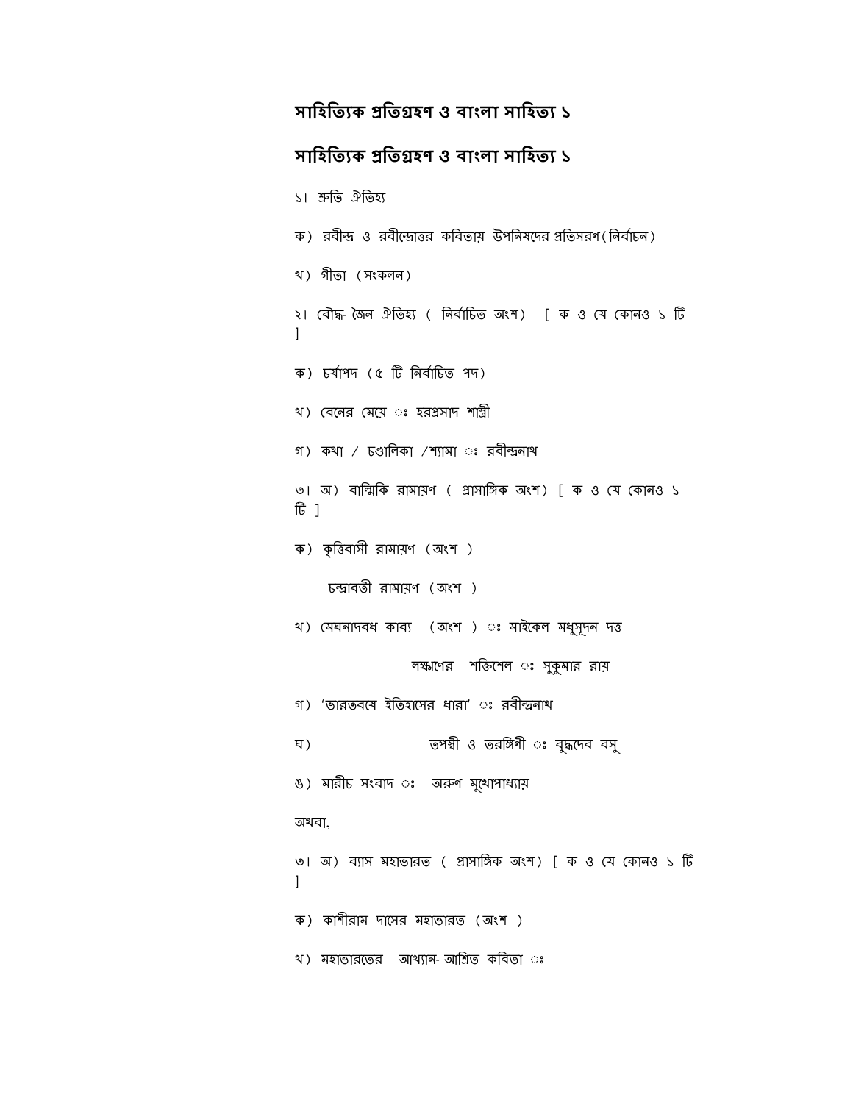# সাহিত্যিক প্ৰতিগ্ৰহণ ও বাংলা সাহিত্য ১

# **সািহিতƟক Ƶিতƣহণ ও বাংলা সািহতƟ ১**

```
১। শ্ৰুতি ঐতিহ্য
ক) রবীন্দ্র ও রবীন্দ্রোত্তর কবিতায় উপনিষদের প্রতিসরণ(নির্বাচন)
খ) গীতা (সংকলন)
২। বৌদ্ধ-জৈন ঐতিহ্য ( নিৰ্বাচিত অংশ) [ ক ও যে কোনও ১ টি
]
ক) চৰ্যাপদ (৫ টি নিৰ্বাচিত পদ)
খ) বেনের মেয়ে ঃ হরপ্রসাদ শাস্ত্রী
গ) কথা / চণ্ডালিকা /শ্যামা ঃ রবীন্দ্রনাথ
৩। অ) বাল্মিকি রামায়ণ ( প্রাসাঙ্গিক অংশ) [ ক ও যে কোনও ১
টি ৷
ক) কৃত্তিবাসী রামায়ণ (অংশ )
    চন্দ্রাবতী রামায়ণ (অংশ)
খ) মেঘনাদবধ কাব্য (অংশ ) ঃ মাইকেল মধুসূদন দত্ত
                 লক্ষ্মণের শক্তিশেল ঃ সুকুমার রায়
গ) 'ভারতবমে ইতিহাসের ধারা' ঃ রবীন্দ্রনাথ
ঘ) তপ˰ী ও তরিǩণী ◌ঃ বুȝেদব বসু
ঙ) মারীচ সংবাদ ঃ অরুণ মুথোপাধ্যায়
অথবা,
৩। অ) ব্যাস মহাভারত ( প্রাসাঙ্গিক অংশ) [ ক ও যে কোনও ১ টি
]
ক) কাশীরাম দােসর মহাভারত (অংশ )
খ) মহাভারতের আখ্যান-আশ্রিত কবিতা ঃ
```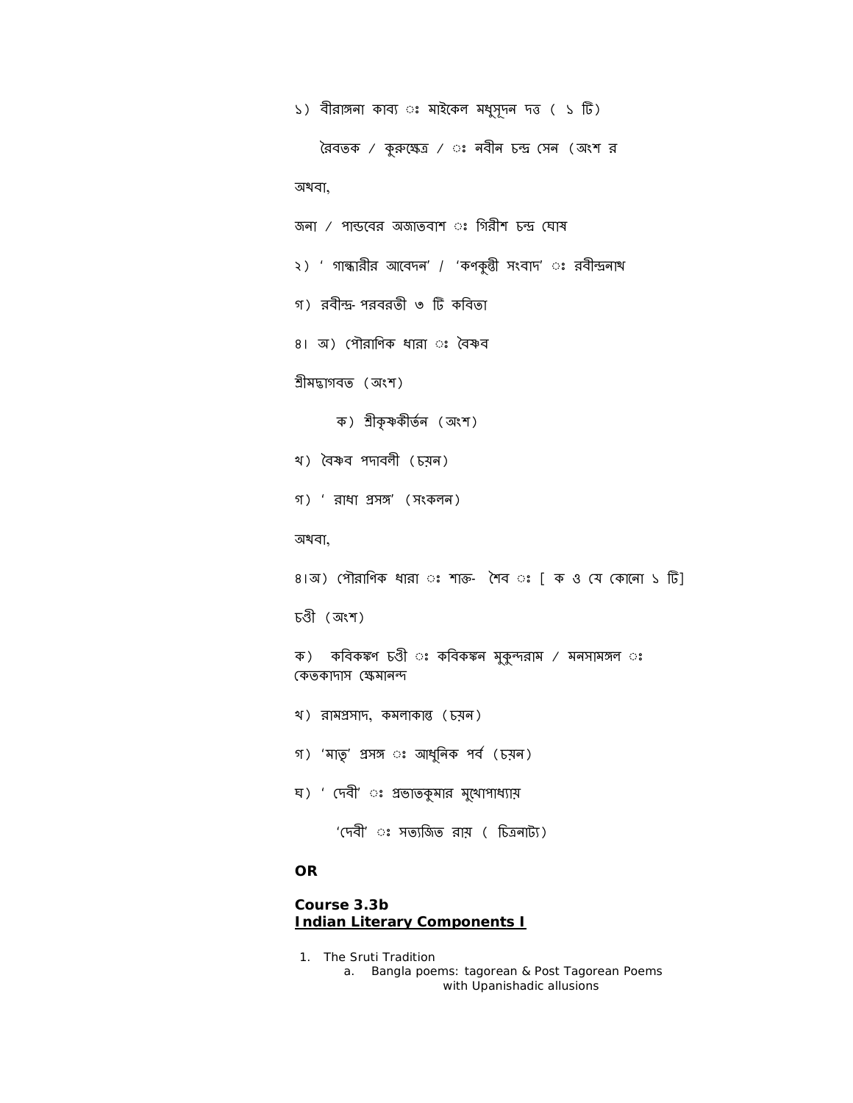```
১) বীরাঙ্গনা কাব্য ঃ মাইকেল মধুসূদন দত্ত ( ১ টি)
   বৈবতক / কুরুক্ষেত্র / ঃ নবীন চন্দ্র (সন (অংশ র
অথবা,
জনা / পান্ডবের অজাতবাশ ঃ গিরীশ চন্দ্র ঘোষ
২) ' গান্ধারীর আবেদন' / 'কণকুন্তী সংবাদ' ঃ রবীন্দ্রনাথ
গ) রবীȰ-পরবরতী ৩ Dž কিবতা 
৪। অ) পৌরাণিক ধারা ঃ বৈষ্ণব
গ্ৰীমদ্ভাগবত (অংশ)
      ক) গ্ৰীকৃষ্ণকীৰ্তন (অংশ)
খ) বৈষ্ণব পদাবলী (চয়ন)
গ) ' রাধা Ƶসǩ' (সংকলন)
অথবা,
৪।অ) পৌরাণিক ধারা ঃ শাক্ত- শৈব ঃ [ ক ও যে কোনো ১ টি]
চȉী (অংশ)
ক) কবিকঙ্কণ চণ্ডী ঃ কবিকঙ্কন মুকুন্দরাম / মনসামঙ্গল ঃ
কেতকাদাস ক্ষেমানন্দ
খ) রামƵসাদ, কমলাকাȭ (চয়ন)
গ) 'মাতৃ' প্ৰসঙ্গ ঃ আধুনিক পৰ্ব (চয়ন)
ঘ) ' দেবী' ঃ প্রভাতকুমার মুথোপাধ্যায়
      'দেবী' ঃ সত্যজিত রায় ( চিত্রনাট্য)
OR
```
# **Course 3.3b Indian Literary Components I**

1. The Sruti Tradition

a. Bangla poems: tagorean & Post Tagorean Poems with Upanishadic allusions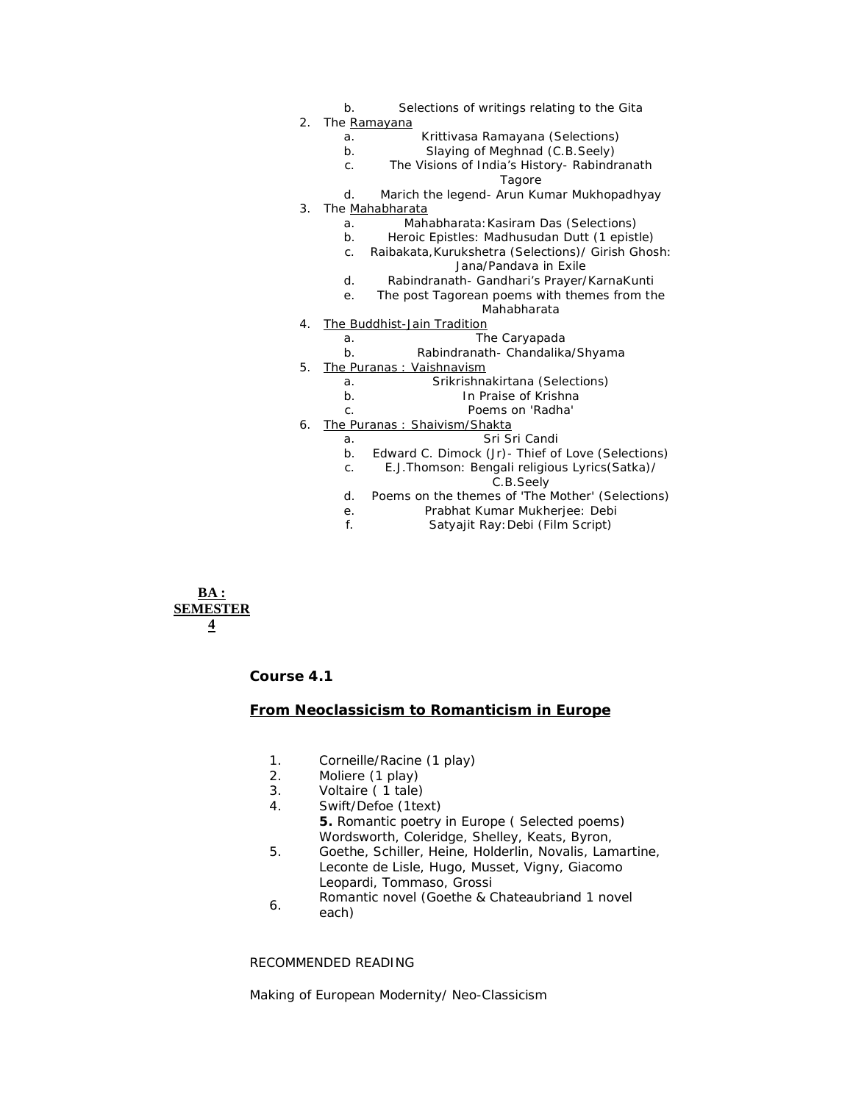- b. Selections of writings relating to the *Gita*
- 2. The Ramayana
	- a. *Krittivasa Ramayana* (Selections)
	- b. *Slaying of Meghnad* (C.B.Seely)
	- c. *The Visions of India's History* Rabindranath Tagore
	- d. *Marich the legend* Arun Kumar Mukhopadhyay
- 3. The Mahabharata
	- a. *Mahabharata*:Kasiram Das (Selections)
	- b. *Heroic Epistles*: Madhusudan Dutt (1 epistle)
	- c. *Raibakata,Kurukshetra* (Selections)/ Girish Ghosh: Jana/Pandava in Exile
	- d. Rabindranath- *Gandhari's Prayer/KarnaKunti*
	- e. The post Tagorean poems with themes from the Mahabharata
		-
- 4. The Buddhist-Jain Tradition
	- a. The Caryapada b. Rabindranath- *Chandalika/Shyama*
- 5. The Puranas : Vaishnavism
	- a. *Srikrishnakirtana* (Selections)
		- b. *In Praise of Krishna*
		- c. *Poems on 'Radha'*
- 6. The Puranas : Shaivism/Shakta
	- a. *Sri Sri Candi*
	- b. Edward C. Dimock (Jr)- *Thief of Love* (Selections)
	- c. E.J.Thomson: *Bengali religious Lyrics*(Satka)/
		- C.B.Seely
	- d. Poems on the themes of 'The Mother' (Selections)
	- e. Prabhat Kumar Mukherjee: *Debi*
	- f. Satyajit Ray:*Debi* (Film Script)

**BA : SEMESTER 4**

**Course 4.1**

### **From Neoclassicism to Romanticism in Europe**

- 1. Corneille/Racine (1 play)
- 2. Moliere (1 play)
- 3. Voltaire ( 1 tale)
- 4. Swift/Defoe (1text) **5.** Romantic poetry in Europe ( Selected poems) Wordsworth, Coleridge, Shelley, Keats, Byron,
- 5. Goethe, Schiller, Heine, Holderlin, Novalis, Lamartine, Leconte de Lisle, Hugo, Musset, Vigny, Giacomo Leopardi, Tommaso, Grossi
- 6. Romantic novel (Goethe & Chateaubriand 1 novel each)

### RECOMMENDED READING

Making of European Modernity/ Neo-Classicism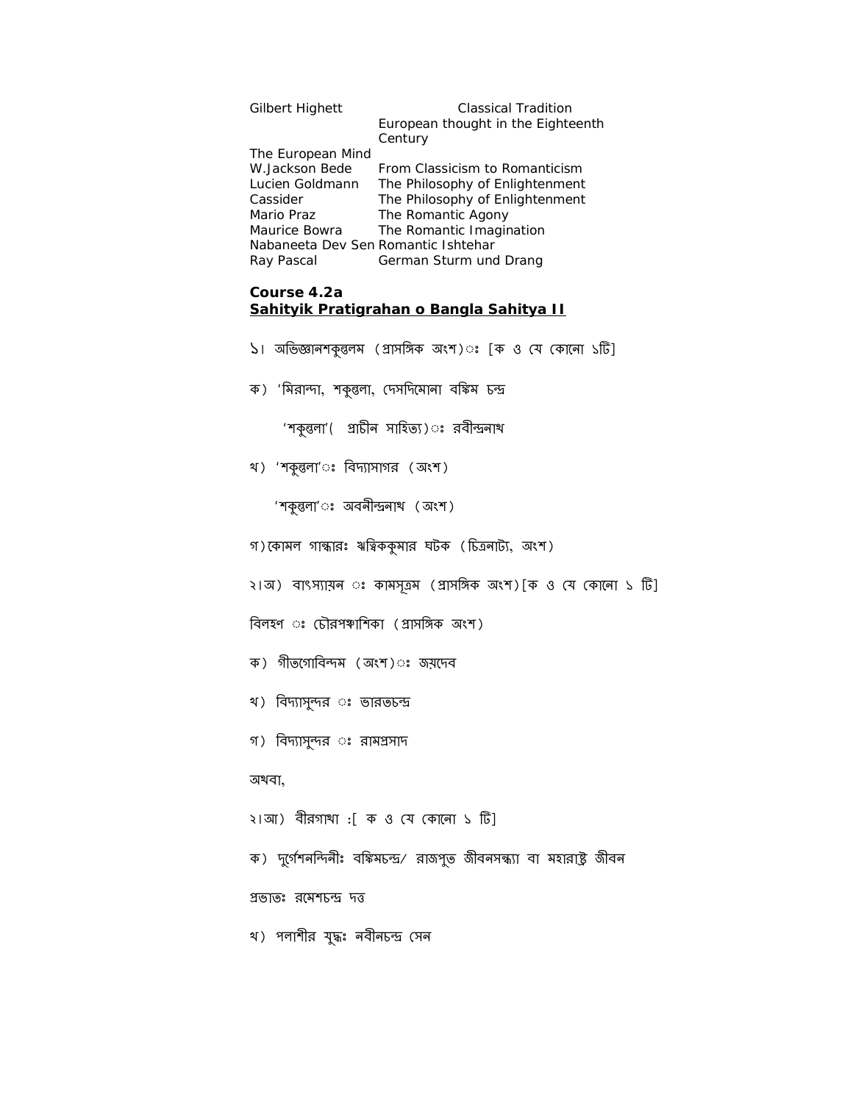| <b>Gilbert Highett</b>              | Classical Tradition                |
|-------------------------------------|------------------------------------|
|                                     | European thought in the Eighteenth |
|                                     | Century                            |
| The European Mind                   |                                    |
| W.Jackson Bede                      | From Classicism to Romanticism     |
| Lucien Goldmann                     | The Philosophy of Enlightenment    |
| Cassider                            | The Philosophy of Enlightenment    |
| Mario Praz                          | The Romantic Agony                 |
| Maurice Bowra                       | The Romantic Imagination           |
| Nabaneeta Dev Sen Romantic Ishtehar |                                    |
| Ray Pascal                          | German Sturm und Drang             |

# **Course 4.2a Sahityik Pratigrahan o Bangla Sahitya II**

- ১। অভিজ্ঞানশকুল্তনম (প্ৰাসঙ্গিক অংশ)ঃ [ক ও যে কোনো ১টি]
- ক) 'মিরান্দা, শকুন্তলা, দেসদিমোনা বঙ্কিম চন্দ্র

'শকুন্তলা' ( প্রাচীন সাহিত্য)ঃ রবীন্দ্রনাথ

খ) 'শকুন্তলা'ঃ বিদ্যাসাগর (অংশ)

'শকুন্তলা'ঃ অবনীন্দ্ৰনাথ (অংশ)

- গ) কোমল গান্ধারঃ ঋত্বিককুমার ঘটক (চিত্রনাট্য, অংশ)
- ২।অ) বাংস্যায়ন ঃ কামসূত্রম (প্রাসঙ্গিক অংশ)[ক ও যে কোনো ১ টি]

বিলহণ ঃ চৌরপঞ্চাশিকা (প্রাসঙ্গিক অংশ)

- ক) গীতগোবিন্দম (অংশ)ঃ জয়দেব
- খ) বিদ্যাসুন্দর ঃ ভারতচন্দ্র
- গ) বিদ্যাসুন্দর ঃ রামপ্রসাদ

## অথবা,

- ২।আ) বীরগাথা :[ ক ও যে কোনো ১ টি]
- ক) দুর্গেশনন্দিনীঃ বঙ্কিমচন্দ্র/ রাজপুত জীবনসন্ধ্যা বা মহারাষ্ট্র জীবন

প্রভাতঃ রমেশচন্দ্র দত্ত

```
খ) পলাশীর যুদ্ধঃ নবীনচন্দ্র সেন
```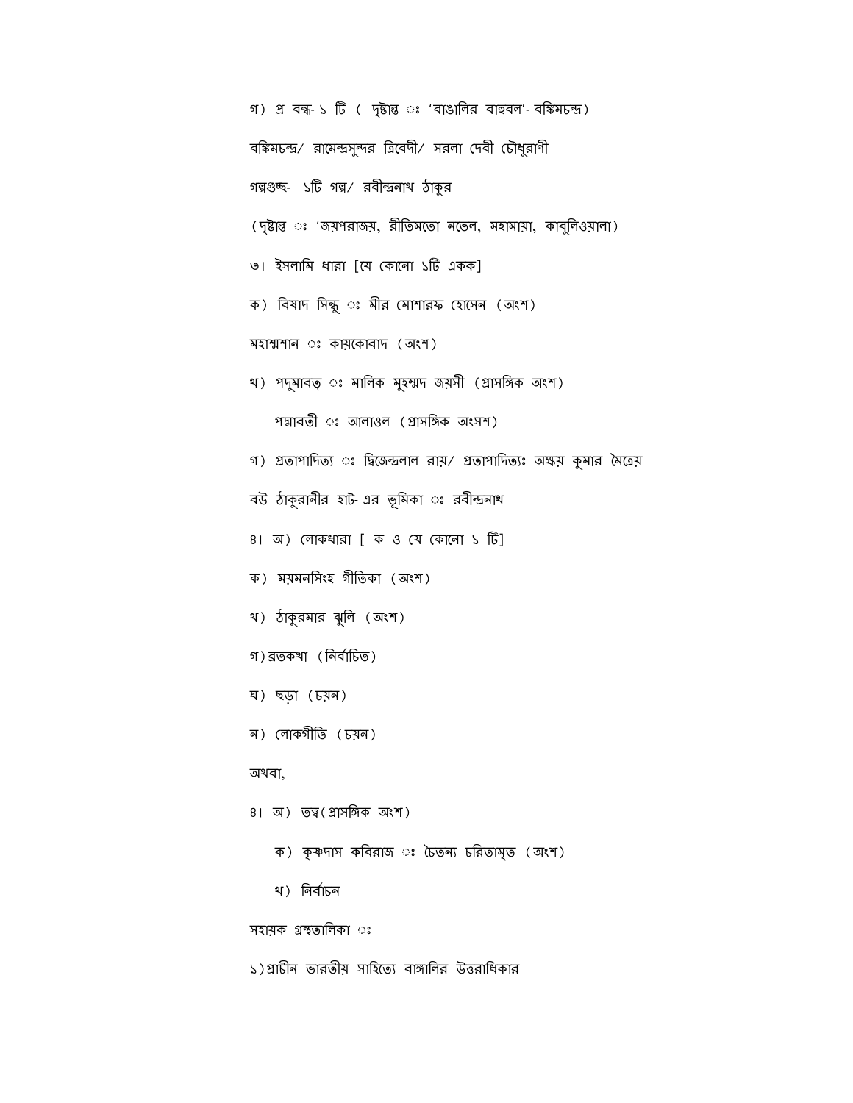| গ) প্র বন্ধ-১ টি ( দৃষ্টান্ত ঃ 'বাঙালির বাহুবল'-বঙ্কিমচন্দ্র)              |
|----------------------------------------------------------------------------|
| বঙ্কিমচন্দ্র/ রামেন্দ্রসুন্দর ত্রিবেদী/ সরলা দেবী চৌধুরাণী                 |
| গল্পগুচ্ছ- ১টি গল্প/ রবীন্দ্রনাথ ঠাকুর                                     |
| (দৃষ্টান্ত ঃ 'জয়পরাজয়, রীতিমতো নভেল, মহামায়া, কাবুলিওয়ালা)             |
| ৩। ইসলামি ধারা [যে কোনো ১টি একক]                                           |
| ক) বিষাদ সিন্ধু ঃ মীর মোশারফ হোসেন (অংশ)                                   |
| মহাম্মশান ঃ কায়কোবাদ (অংশ)                                                |
| থ) পদুমাবত্ ঃ মালিক মুহম্মদ জয়সী (প্ৰাসঙ্গিক অংশ)                         |
| পদ্মাবতী ঃ আলাওল (প্রাসঙ্গিক অংসশ)                                         |
| গ) প্রতাপাদিত্য ঃ দ্বিজেন্দ্রলাল রায়/ প্রতাপাদিত্যঃ অক্ষয় কুমার মৈত্রেয় |
| বউ ঠাকুরানীর হাট-এর ভূমিকা ঃ রবীন্দ্রনাথ                                   |
| ৪। অ) লোকধারা [ ক ও যে কোনো ১ টি]                                          |
| ক) ময়মনসিংহ গীতিকা (অংশ)                                                  |
| খ) ঠাকুরমার ঝুলি (অংশ)                                                     |
| গ)ব্রতকথা (নির্বাচিত)                                                      |
| ঘ) ছড়া (চয়ন)                                                             |
| ন) লোকগীতি (চয়ন)                                                          |
| অখবা,                                                                      |
| 8। অ) তত্ব (প্ৰাসঙ্গিক অংশ)                                                |
| ক) কৃষ্ণদাস কবিরাজ ঃ চৈতন্য চরিতামৃত (অংশ)                                 |
| খ) নিৰ্বাচন                                                                |
| সহায়ক গ্ৰন্থতালিকা ঃ                                                      |

১)প্রাচীন ভারতীয় সাহিত্যে বাঙ্গালির উত্তরাধিকার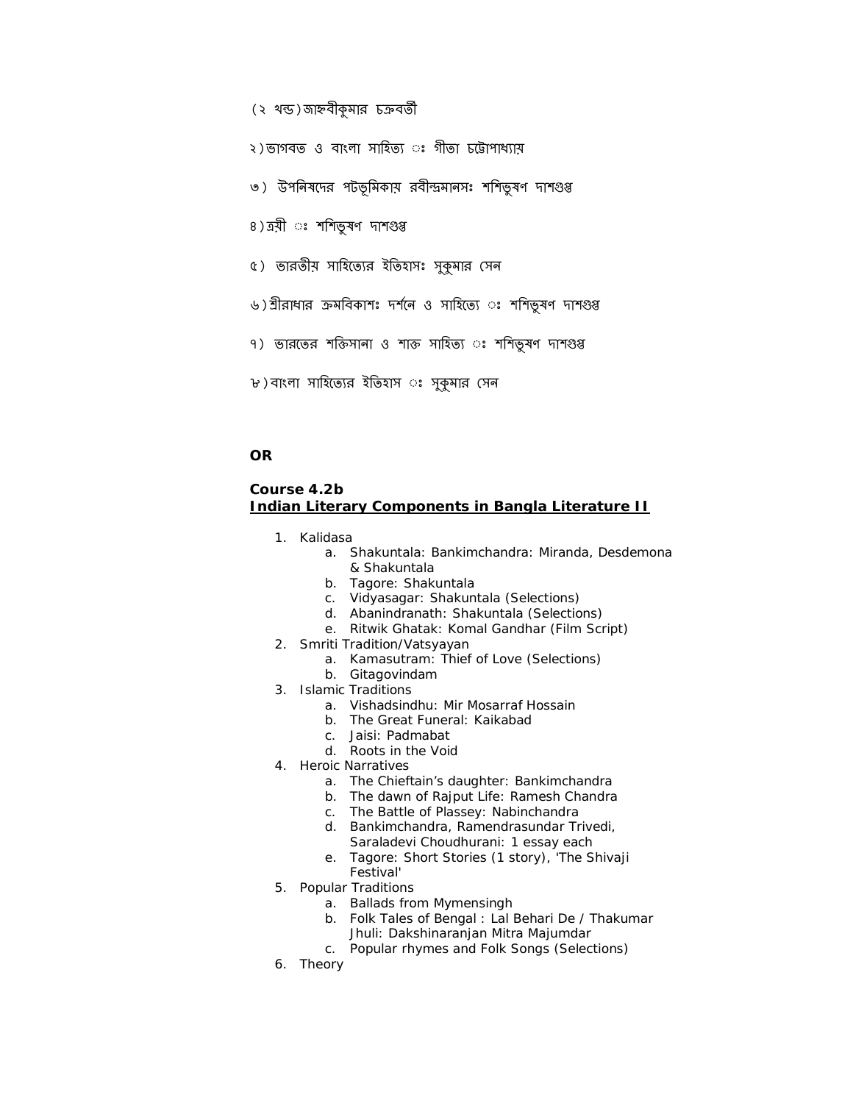(২ খন্ড)জাহ্নবীকৃমার চক্রবর্তী

২)ভাগবত ও বাংলা সাহিত্য ঃ গীতা চট্টোপাধ্যায়

- ৩) উপনিষদের পটভূমিকায় রবীন্দ্রমানসঃ শশিভূষণ দাশগুপ্ত
- ৪) ত্রয়ী ঃ শশিভুষণ দাশগুপ্ত
- ৫) ভারতীয় সাহিত্যের ইতিহাসঃ সুকুমার সেন
- ৬)র্শ্রীরাধার ক্রমবিকাশঃ দর্শনে ও সাহিত্যে ঃ শশিভুষণ দাশগুপ্ত
- ৭) ভারতের শক্তিসানা ও শাক্ত সাহিত্য ঃ শশিভুষণ দাশগুপ্ত
- ৮)বাংলা সাহিত্যের ইতিহাস ঃ সুকুমার সেন

### **OR**

## **Course 4.2b Indian Literary Components in Bangla Literature II**

- 1. Kalidasa
	- a. Shakuntala: Bankimchandra: Miranda, Desdemona & Shakuntala
	- b. Tagore: Shakuntala
	- c. Vidyasagar: *Shakuntala* (Selections)
	- d. Abanindranath: *Shakuntala* (Selections)
	- e. Ritwik Ghatak: *Komal Gandhar* (Film Script)
- 2. Smriti Tradition/Vatsyayan
	- a. *Kamasutram*: Thief of Love (Selections)
	- b. *Gitagovindam*
- 3. Islamic Traditions
	- a. *Vishadsindhu*: Mir Mosarraf Hossain
	- b. *The Great Funeral*: Kaikabad
	- c. Jaisi: *Padmabat*
	- d. *Roots in the Void*
- 4. Heroic Narratives
	- a. *The Chieftain's daughter*: Bankimchandra
	- b. *The dawn of Rajput Life*: Ramesh Chandra
	- c. *The Battle of Plassey*: Nabinchandra
	- d. Bankimchandra, Ramendrasundar Trivedi, Saraladevi Choudhurani: 1 essay each
	- e. Tagore: Short Stories (1 story), 'The Shivaji Festival'
- 5. Popular Traditions
	- a. Ballads from Mymensingh
	- b. *Folk Tales of Bengal* : Lal Behari De / Thakumar Jhuli: Dakshinaranjan Mitra Majumdar
	- c. Popular rhymes and Folk Songs (Selections)
- 6. Theory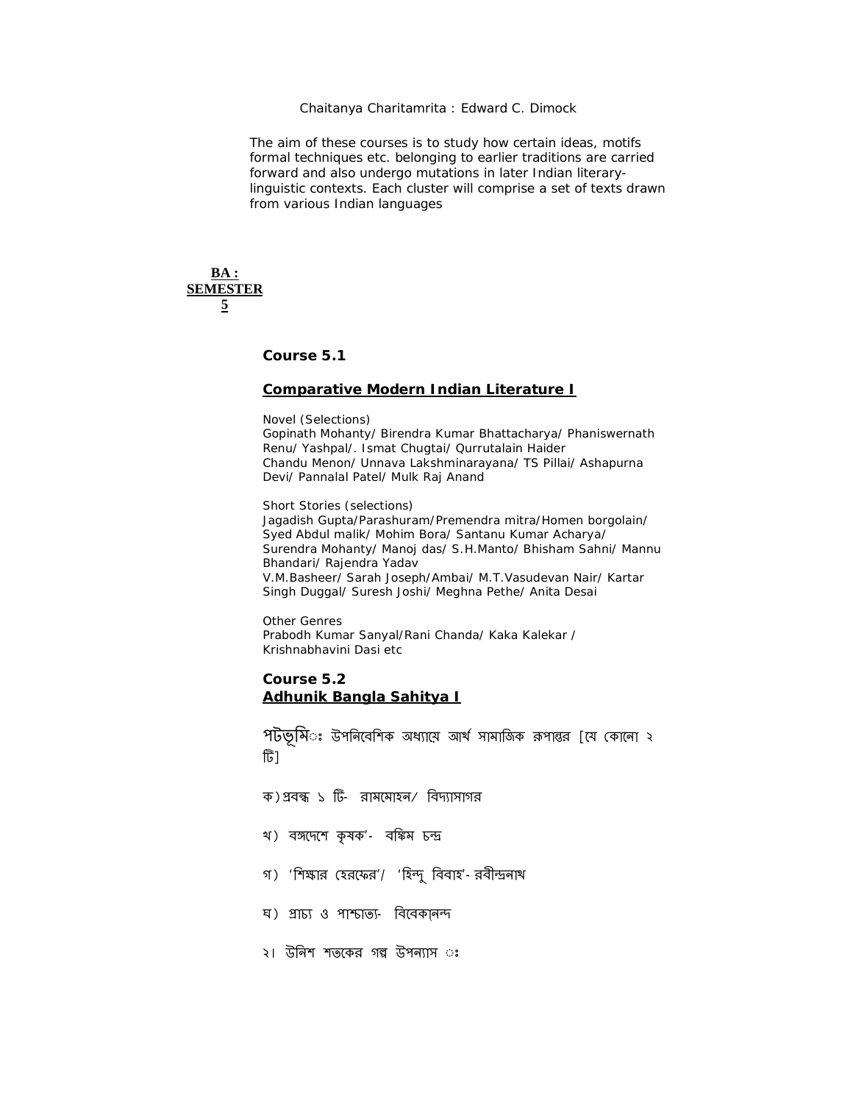### *Chaitanya Charitamrita* : Edward C. Dimock

The aim of these courses is to study how certain ideas, motifs formal techniques etc. belonging to earlier traditions are carried forward and also undergo mutations in later Indian literarylinguistic contexts. Each cluster will comprise a set of texts drawn from various Indian languages

**BA : SEMESTER 5**

**Course 5.1**

### **Comparative Modern Indian Literature I**

Novel (Selections)

Gopinath Mohanty/ Birendra Kumar Bhattacharya/ Phaniswernath Renu/ Yashpal/. Ismat Chugtai/ Qurrutalain Haider Chandu Menon/ Unnava Lakshminarayana/ TS Pillai/ Ashapurna Devi/ Pannalal Patel/ Mulk Raj Anand

Short Stories (selections) Jagadish Gupta/Parashuram/Premendra mitra/Homen borgolain/ Syed Abdul malik/ Mohim Bora/ Santanu Kumar Acharya/ Surendra Mohanty/ Manoj das/ S.H.Manto/ Bhisham Sahni/ Mannu Bhandari/ Rajendra Yadav V.M.Basheer/ Sarah Joseph/Ambai/ M.T.Vasudevan Nair/ Kartar Singh Duggal/ Suresh Joshi/ Meghna Pethe/ Anita Desai

Other Genres Prabodh Kumar Sanyal/Rani Chanda/ Kaka Kalekar / Krishnabhavini Dasi etc

## **Course 5.2 Adhunik Bangla Sahitya I**

পটভূমিঃ উপনিবেশিক অধ্যায়ে আর্থ সামাজিক রূপান্তর [যে কোনো ২ টি]

- ক) প্রবন্ধ ১ টি- রামমোহন/ বিদ্যাসাগর
- খ) বঙ্গদেশে কৃষক'- বঙ্কিম চন্দ্ৰ
- গ) 'শিক্ষার হেরফের'/ 'হিন্দু বিবাহ'-রবীন্দ্রনাথ
- ঘ) প্ৰাচ্য ও পাশ্চাত্য- বিবেকানন্দ
- ২। উনিশ শতকের গল্প উপন্যাস ঃ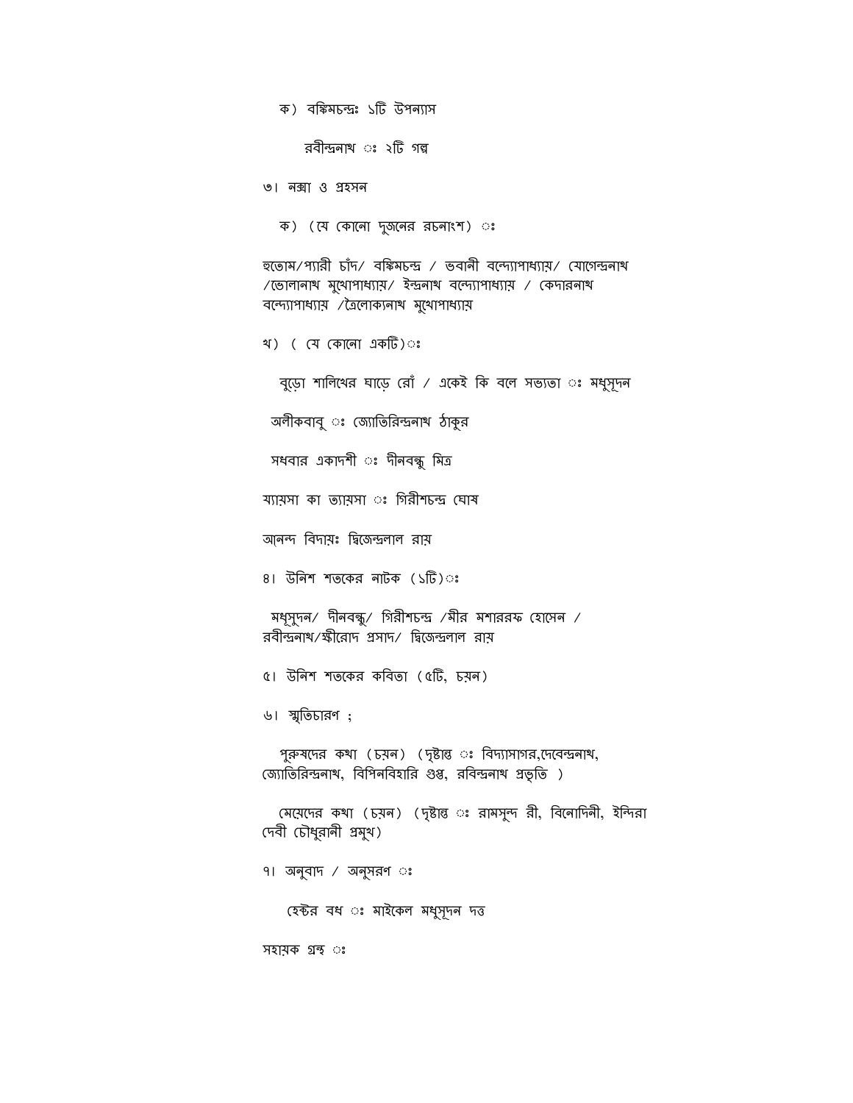ক) বঙ্কিমচন্দ্ৰঃ ১টি উপন্যাস

রবীন্দ্রনাথ ঃ ২টি গল্প

৩। নǙা ও Ƶহসন

ক) (যে কোনো দুজনের রচনাংশ) ঃ

হতোম/প্যারী চাঁদ/ বঙ্কিমচন্দ্র / ভবানী বন্দ্যোপাধ্যায়/ যোগেন্দ্রনাথ /েভালানাথ মুেখাপাধƟায়/ ইȰনাথ বেȱƟাপাধƟায় / ĺকদারনাথ বন্দ্যোপাধ্যায় / ত্রৈলোক্যনাথ মুথোপাধ্যায়

খ) ( যে কোনো একটি)ঃ

বুড়ো শালিখের ঘাড়ে রোঁ / একেই কি বলে সভ্যতা ঃ মধুসূদন

অলীকবাবু ঃ জ্যোতিরিন্দ্রনাথ ঠাকুর

সধবার একাদশী ঃ দীনবন্ধু মিত্র

য্যায়সা কা ত্যায়সা ঃ গিরীশচন্দ্র ঘোষ

আনন্দ বিদায়ঃ দ্বিজেন্দ্রলাল রায়

৪। উনিশ শতকের নাটক (১টি)ঃ

মধূসুদন/ দীনবন্ধু/ গিরীশচন্দ্র /মীর মশাররফ হোসেন / রবীন্দ্রনাথ/ক্ষীরোদ প্রসাদ/ দ্বিজেন্দ্রলাল রায়

৫। উিনশ শতেকর কিবতা (৫Dž, চয়ন)

৬। ʍৃিতচারণ ;

পুরুষদের কথা (চয়ন) (দৃষ্টান্ত ঃ বিদ্যাসাগর,দেবেন্দ্রনাথ, জ্যোতিরিন্দ্রনাথ, বিপিনবিহারি গুপ্ত, রবিন্দ্রনাথ প্রভৃতি)

মেয়েদের কথা (চয়ন) (দৃষ্টান্ত ঃ রামসুন্দ রী, বিনোদিনী, ইন্দিরা দেবী চৌধুরানী প্রমুখ)

৭। অনুবাদ / অনুসরণ ◌ঃ

হেক্টর বধ ঃ মাইকেল মধুসূদন দত্ত

সহায়ক ƣȮ ◌ঃ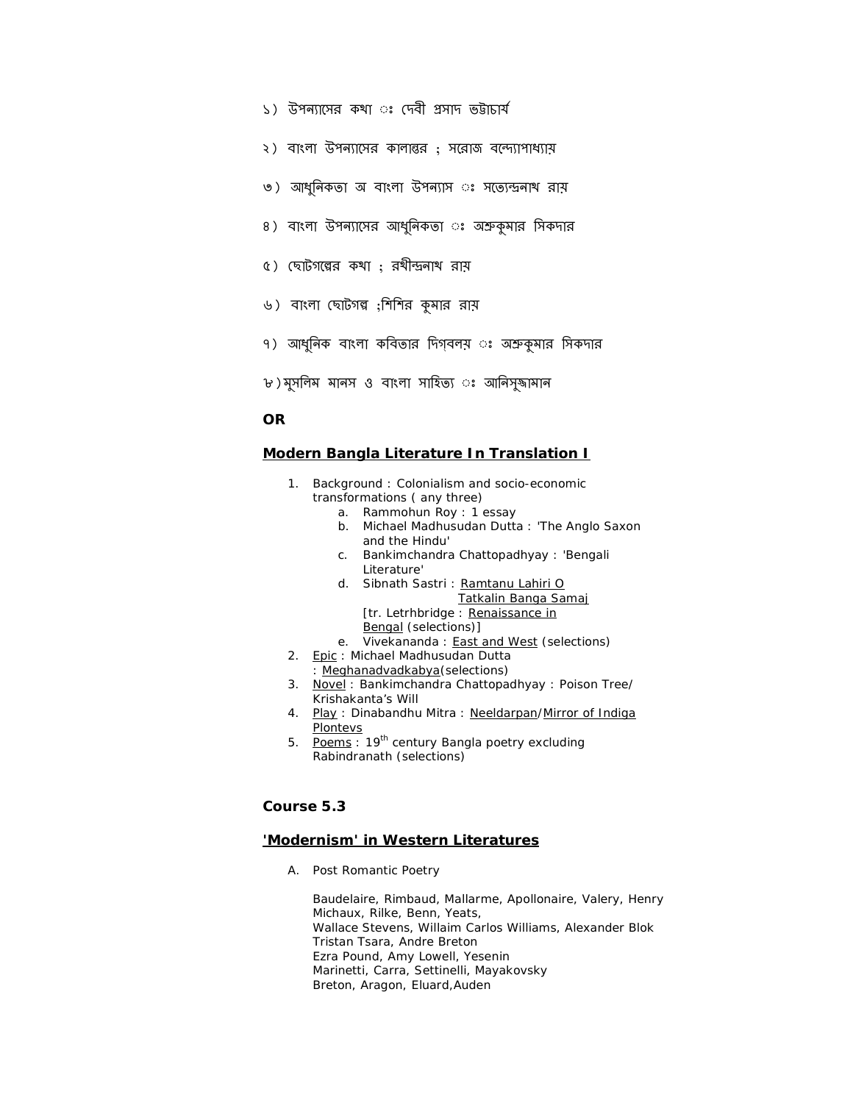- ১) উপন্যাসের কথা ঃ দেবী প্রসাদ ভট্টাচার্য
- ২) বাংলা উপন্যাসের কালান্তর ; সরোজ বন্দ্যোপাধ্যায়
- ৩) আধুনিকতা অ বাংলা উপন্যাস ঃ সত্যেন্দ্রনাথ রায়
- ৪) বাংলা উপন্যাসের আধুনিকতা ঃ অশ্রুকমার সিকদার
- ৫) ছোটগল্পের কথা ; রথীন্দ্রনাথ রায়
- ৬) বাংলা ছোটগল্প ;শিশির কুমার রায়
- ৭) আধুনিক বাংলা কবিতার দিগ্বলয় ঃ অশ্রুকুমার সিকদার
- ৮) মুসলিম মানস ও বাংলা সাহিত্য ঃ আনিসুজামান

## **OR**

### **Modern Bangla Literature In Translation I**

- 1. Background : Colonialism and socio-economic transformations ( any three)
	- a. Rammohun Roy : 1 essay
	- b. Michael Madhusudan Dutta : 'The Anglo Saxon and the Hindu'
	- c. Bankimchandra Chattopadhyay : 'Bengali Literature'
	- d. Sibnath Sastri : *Ramtanu Lahiri O Tatkalin Banga Samaj*
		- [tr. Letrhbridge : Renaissance in
		- Bengal (selections)]
	- e. Vivekananda : *East and West* (selections)
- 2. Epic: Michael Madhusudan Dutta
	- : *Meghanadvadkabya*(selections)
- *3.* Novel : Bankimchandra Chattopadhyay : *Poison Tree/ Krishakanta's Will*
- *4.* Play : Dinabandhu Mitra : *Neeldarpan/Mirror of Indiga Plontevs*
- 5. Poems: 19<sup>th</sup> century Bangla poetry excluding Rabindranath (selections)

# **Course 5.3**

### **'Modernism' in Western Literatures**

A. Post Romantic Poetry

Baudelaire, Rimbaud, Mallarme, Apollonaire, Valery, Henry Michaux, Rilke, Benn, Yeats, Wallace Stevens, Willaim Carlos Williams, Alexander Blok Tristan Tsara, Andre Breton Ezra Pound, Amy Lowell, Yesenin Marinetti, Carra, Settinelli, Mayakovsky Breton, Aragon, Eluard,Auden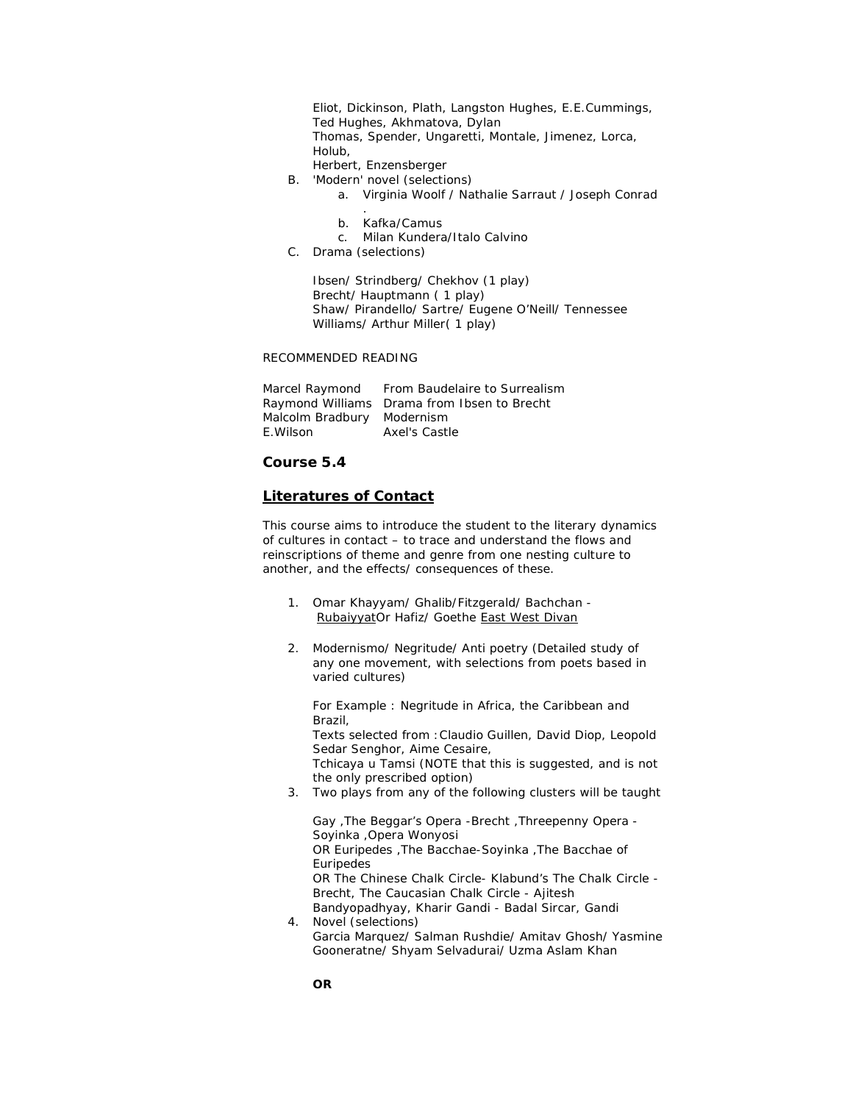Eliot, Dickinson, Plath, Langston Hughes, E.E.Cummings, Ted Hughes, Akhmatova, Dylan Thomas, Spender, Ungaretti, Montale, Jimenez, Lorca, Holub,

- Herbert, Enzensberger B. 'Modern' novel (selections)
	- a. Virginia Woolf / Nathalie Sarraut / Joseph Conrad
	- . b. Kafka/Camus
	- c. Milan Kundera/Italo Calvino
- C. Drama (selections)

Ibsen/ Strindberg/ Chekhov (1 play) Brecht/ Hauptmann ( 1 play) Shaw/ Pirandello/ Sartre/ Eugene O'Neill/ Tennessee Williams/ Arthur Miller( 1 play)

### RECOMMENDED READING

|                            | Marcel Raymond From Baudelaire to Surrealism |
|----------------------------|----------------------------------------------|
|                            | Raymond Williams Drama from Ibsen to Brecht  |
| Malcolm Bradbury Modernism |                                              |
| E.Wilson                   | Axel's Castle                                |

## **Course 5.4**

### **Literatures of Contact**

This course aims to introduce the student to the literary dynamics of cultures in contact – to trace and understand the flows and reinscriptions of theme and genre from one nesting culture to another, and the effects/ consequences of these.

- *1.* Omar Khayyam/ Ghalib/Fitzgerald/ Bachchan RubaiyyatOr Hafiz/ Goethe *East West Divan*
- 2. Modernismo/ Negritude/ Anti poetry (Detailed study of any one movement, with selections from poets based in varied cultures)

For Example : Negritude in Africa, the Caribbean and Brazil, Texts selected from :Claudio Guillen, David Diop, Leopold Sedar Senghor, Aime Cesaire, Tchicaya u Tamsi (NOTE that this is suggested, and is not the only prescribed option) 3. Two plays from any of the following clusters will be taught

Gay ,The Beggar's Opera -Brecht ,Threepenny Opera - Soyinka ,Opera Wonyosi OR Euripedes ,The Bacchae-Soyinka ,The Bacchae of Euripedes OR The Chinese Chalk Circle- Klabund's The Chalk Circle - Brecht, The Caucasian Chalk Circle - Ajitesh

Bandyopadhyay, Kharir Gandi - Badal Sircar, Gandi 4. Novel (selections) Garcia Marquez/ Salman Rushdie/ Amitav Ghosh/ Yasmine Gooneratne/ Shyam Selvadurai/ Uzma Aslam Khan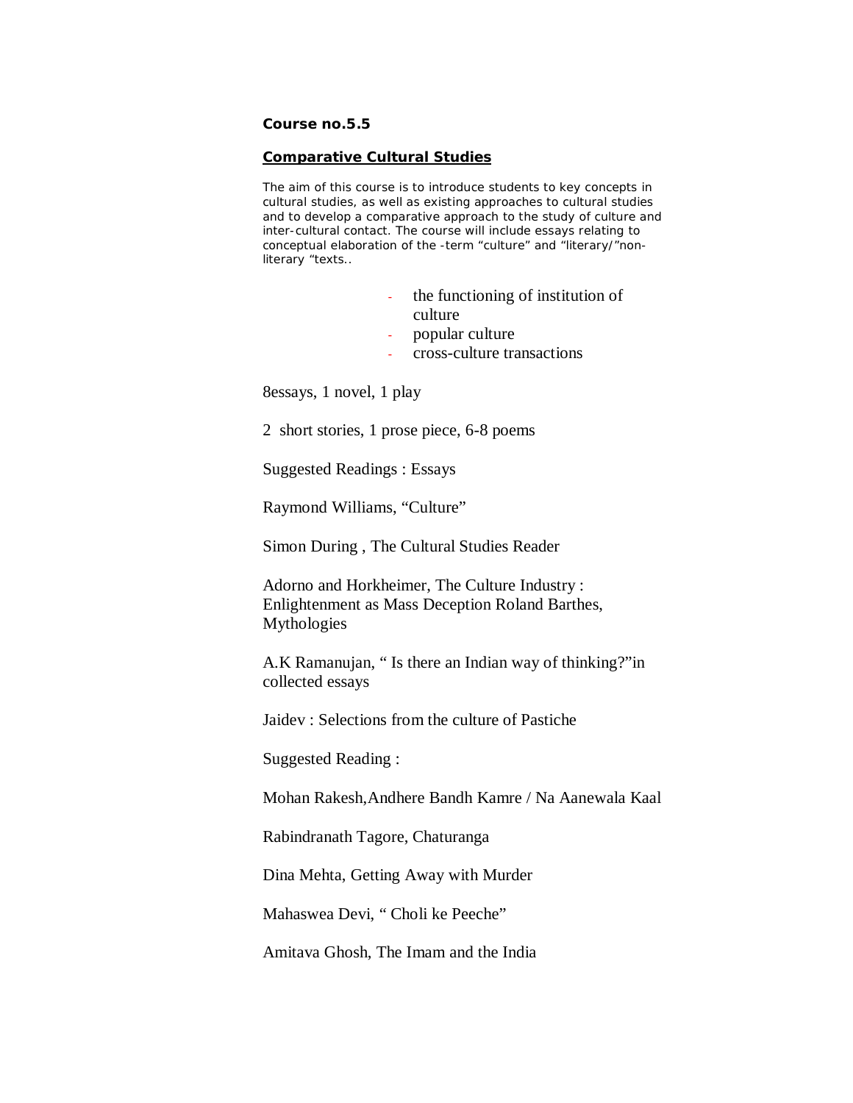# **Course no.5.5**

## **Comparative Cultural Studies**

The aim of this course is to introduce students to key concepts in cultural studies, as well as existing approaches to cultural studies and to develop a comparative approach to the study of culture and inter-cultural contact. The course will include essays relating to conceptual elaboration of the -term "culture" and "literary/"nonliterary "texts..

- the functioning of institution of culture
- popular culture
- cross-culture transactions

8essays, 1 novel, 1 play

2 short stories, 1 prose piece, 6-8 poems

Suggested Readings : Essays

Raymond Williams, "Culture"

Simon During , The Cultural Studies Reader

Adorno and Horkheimer, The Culture Industry : Enlightenment as Mass Deception Roland Barthes, Mythologies

A.K Ramanujan, " Is there an Indian way of thinking?"in collected essays

Jaidev : Selections from the culture of Pastiche

Suggested Reading :

Mohan Rakesh,Andhere Bandh Kamre / Na Aanewala Kaal

Rabindranath Tagore, Chaturanga

Dina Mehta, Getting Away with Murder

Mahaswea Devi, " Choli ke Peeche"

Amitava Ghosh, The Imam and the India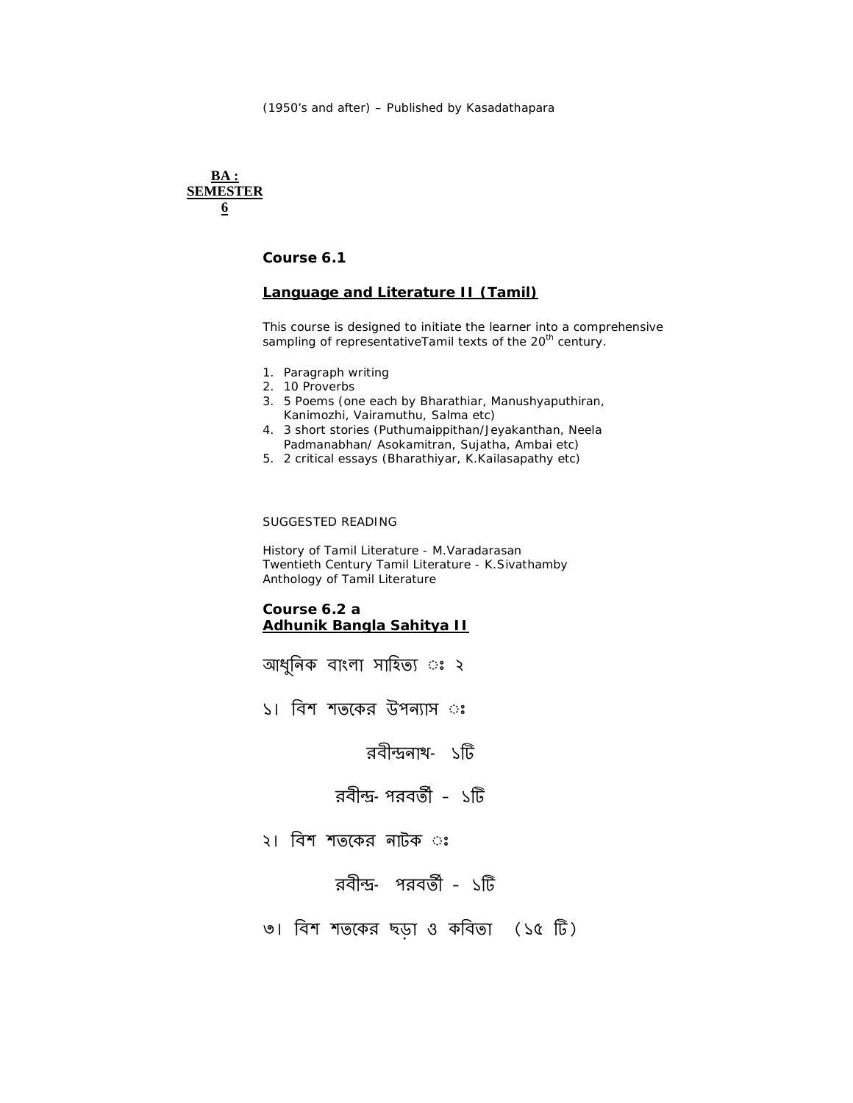## **BA : SEMESTER 6**

**Course 6.1**

# **Language and Literature II (Tamil)**

This course is designed to initiate the learner into a comprehensive sampling of representativeTamil texts of the 20<sup>th</sup> century.

- 1. Paragraph writing
- 2. 10 Proverbs
- 3. 5 Poems (one each by Bharathiar, Manushyaputhiran, Kanimozhi, Vairamuthu, Salma etc)
- 4. 3 short stories (Puthumaippithan/Jeyakanthan, Neela Padmanabhan/ Asokamitran, Sujatha, Ambai etc)
- 5. 2 critical essays (Bharathiyar, K.Kailasapathy etc)

### SUGGESTED READING

*History of Tamil Literature* - M.Varadarasan *Twentieth Century Tamil Literature* - K.Sivathamby Anthology of Tamil Literature

## **Course 6.2 a Adhunik Bangla Sahitya II**

- আধুনিক বাংলা সাহিত্য ঃ ২
- ১। বিশ শতকের উপন্যাস ঃ

রবীন্দ্রনাথ- ১টি

- রবীন্দ্র-পরবর্তী ১টি
- ২। িবশ শতেকর নাটক ◌ঃ
	- রবীন্দ্র- পরবর্তী ১টি
- ৩। িবশ শতেকর ছড়া ও কিবতা (১৫ Dž)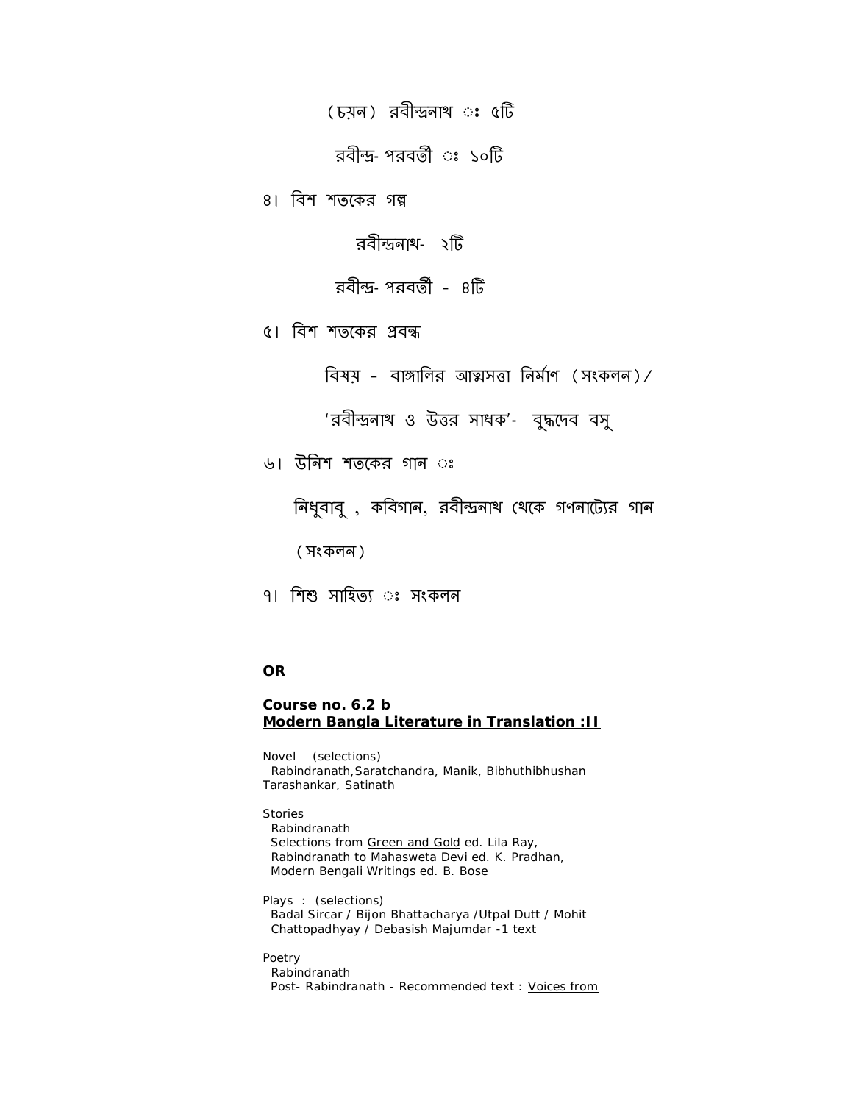(চয়ন) রবীন্দ্রনাথ ঃ ৫টি

রবীন্দ্র–পরবর্তী ঃ ১০টি

৪। বিশ শতকের গল্প

রবীন্দ্রনাথ- ২টি

রবীন্দ্র–পরবর্তী – ৪টি

৫। বিশ শতকের প্রবন্ধ

বিষয় – বাঙ্গালির আত্মসত্তা নির্মাণ (সংকলন)/

'রবীȰনাথ ও উȑর সাধক'- বুȝেদব বসু

৬। উিনশ শতেকর গান ◌ঃ

নিধুবাবু , কবিগান, রবীন্দ্রনাথ থেকে গণনাট্যের গান

(সংকলন)

৭। শিশু সাহিত্য ঃ সংকলন

# **OR**

# **Course no. 6.2 b Modern Bangla Literature in Translation :II**

Novel (selections) Rabindranath,Saratchandra, Manik, Bibhuthibhushan Tarashankar, Satinath

Stories

 Rabindranath Selections from Green and Gold ed. Lila Ray, Rabindranath to Mahasweta Devi ed. K. Pradhan, Modern Bengali Writings ed. B. Bose

Plays : (selections) Badal Sircar / Bijon Bhattacharya /Utpal Dutt / Mohit Chattopadhyay / Debasish Majumdar -1 text

Poetry

 Rabindranath Post- Rabindranath - Recommended text : Voices from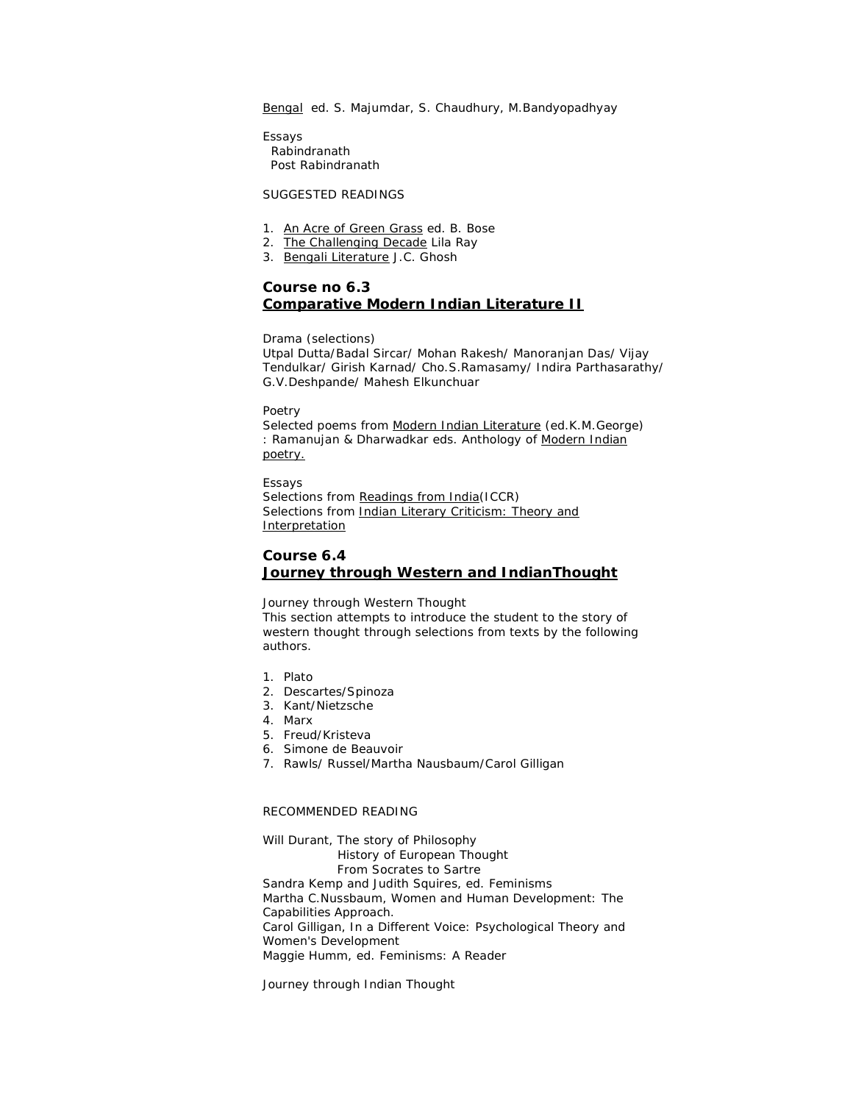Bengal ed. S. Majumdar, S. Chaudhury, M. Bandyopadhyay

Essays Rabindranath Post Rabindranath

SUGGESTED READINGS

- 1. An Acre of Green Grass ed. B. Bose
- 2. The Challenging Decade Lila Ray
- 3. Bengali Literature J.C. Ghosh

## **Course no 6.3 Comparative Modern Indian Literature II**

Drama (selections)

Utpal Dutta/Badal Sircar/ Mohan Rakesh/ Manoranjan Das/ Vijay Tendulkar/ Girish Karnad/ Cho.S.Ramasamy/ Indira Parthasarathy/ G.V.Deshpande/ Mahesh Elkunchuar

Poetry

Selected poems from Modern Indian Literature (ed.K.M.George) : Ramanujan & Dharwadkar eds. Anthology of Modern Indian poetry.

Essays

Selections from Readings from India(ICCR) Selections from Indian Literary Criticism: Theory and **Interpretation** 

## **Course 6.4 Journey through Western and IndianThought**

Journey through Western Thought

This section attempts to introduce the student to the story of western thought through selections from texts by the following authors.

- 1. Plato
- 2. Descartes/Spinoza
- 3. Kant/Nietzsche
- 4. Marx
- 5. Freud/Kristeva
- 6. Simone de Beauvoir
- 7. Rawls/ Russel/Martha Nausbaum/Carol Gilligan

### RECOMMENDED READING

Will Durant, *The story of Philosophy History of European Thought From Socrates to Sartre* Sandra Kemp and Judith Squires, ed. *Feminisms* Martha C.Nussbaum, *Women and Human Development: The Capabilities Approach.* Carol Gilligan*, In a Different Voice: Psychological Theory and Women's Development* Maggie Humm, ed. *Feminisms: A Reader*

Journey through Indian Thought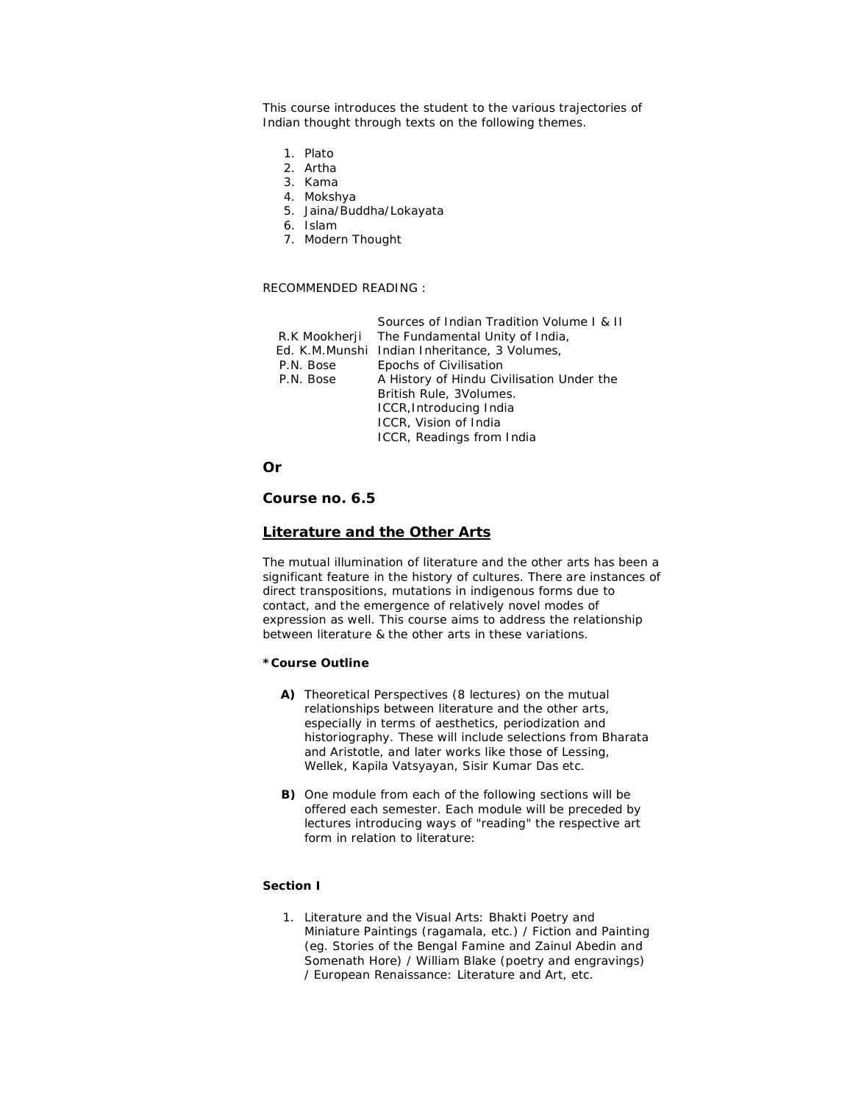This course introduces the student to the various trajectories of Indian thought through texts on the following themes.

- 1. Plato
- 2. Artha
- 3. Kama
- 4. Mokshya
- 5. Jaina/Buddha/Lokayata
- 6. Islam
- 7. Modern Thought

### RECOMMENDED READING :

|               | Sources of Indian Tradition Volume L & II     |
|---------------|-----------------------------------------------|
| R.K Mookherji | The Fundamental Unity of India,               |
|               | Ed. K.M.Munshi Indian Inheritance, 3 Volumes, |
| P.N. Bose     | Epochs of Civilisation                        |
| P.N. Bose     | A History of Hindu Civilisation Under the     |
|               | British Rule, 3Volumes.                       |
|               | ICCR, Introducing India                       |
|               | ICCR, Vision of India                         |
|               | ICCR, Readings from India                     |
|               |                                               |

**Or**

## **Course no. 6.5**

### **Literature and the Other Arts**

The mutual illumination of literature and the other arts has been a significant feature in the history of cultures. There are instances of direct transpositions, mutations in indigenous forms due to contact, and the emergence of relatively novel modes of expression as well. This course aims to address the relationship between literature & the other arts in these variations.

### *\*Course Outline*

- **A)** Theoretical Perspectives (8 lectures) on the mutual relationships between literature and the other arts, especially in terms of aesthetics, periodization and historiography. These will include selections from Bharata and Aristotle, and later works like those of Lessing, Wellek, Kapila Vatsyayan, Sisir Kumar Das etc.
- **B)** One module from each of the following sections will be offered each semester. Each module will be preceded by lectures introducing ways of "reading" the respective art form in relation to literature:

### *Section I*

1. Literature and the Visual Arts: Bhakti Poetry and Miniature Paintings (ragamala, etc.) / Fiction and Painting (eg. Stories of the Bengal Famine and Zainul Abedin and Somenath Hore) / William Blake (poetry and engravings) / European Renaissance: Literature and Art, etc.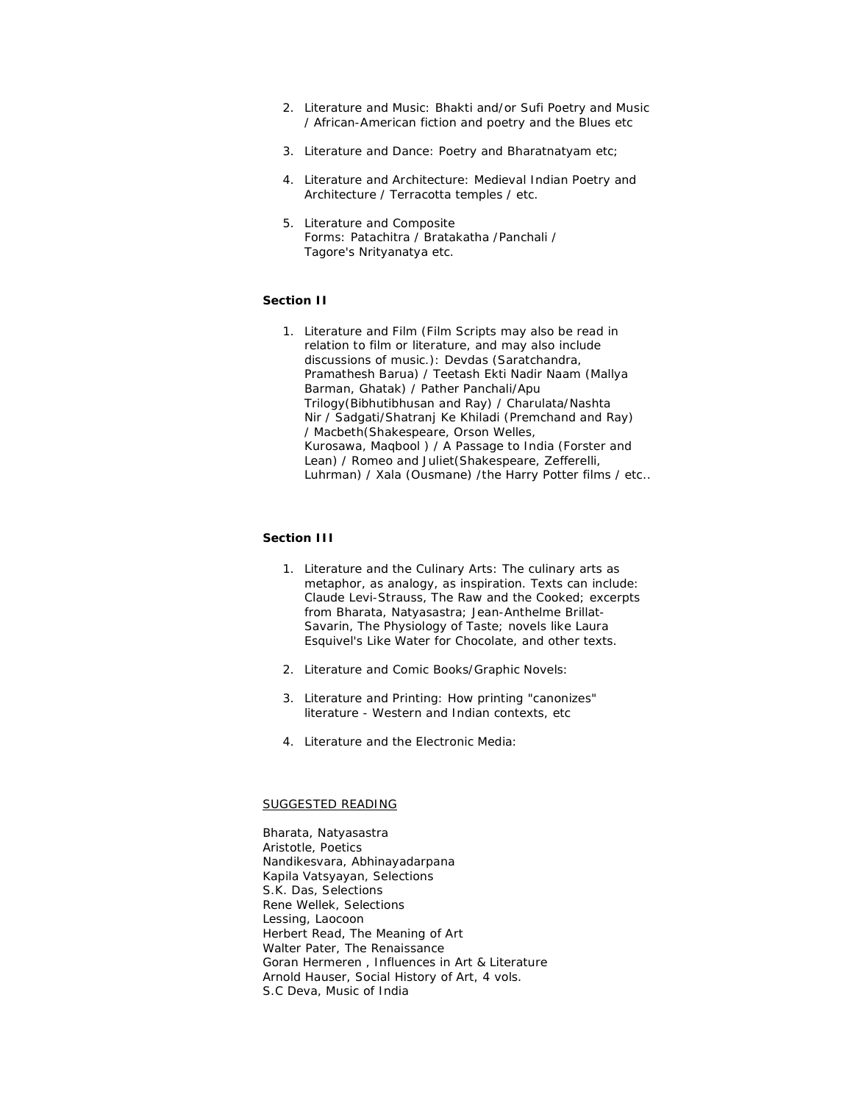- 2. Literature and Music: Bhakti and/or Sufi Poetry and Music / African-American fiction and poetry and the Blues etc
- 3. Literature and Dance: Poetry and Bharatnatyam etc;
- 4. Literature and Architecture: Medieval Indian Poetry and Architecture / Terracotta temples / etc.
- 5. Literature and Composite Forms: *Patachitra* / *Bratakatha* /*Panchali* / Tagore's *Nrityanatya* etc.

### *Section II*

1. Literature and Film (Film Scripts may also be read in relation to film or literature, and may also include discussions of music.): *Devdas* (Saratchandra, Pramathesh Barua) / *Teetash Ekti Nadir Naam* (Mallya Barman, Ghatak) / *Pather Panchali/Apu Trilogy*(Bibhutibhusan and Ray) / *Charulata/Nashta Nir* / *Sadgati*/*Shatranj Ke Khiladi* (Premchand and Ray) / *Macbeth*(Shakespeare, Orson Welles, Kurosawa, *Maqbool* ) / *A Passage to India* (Forster and Lean) / *Romeo and Juliet*(Shakespeare, Zefferelli, Luhrman) / *Xala* (Ousmane) /*the Harry Potter films* / etc..

## *Section III*

- 1. Literature and the Culinary Arts: The culinary arts as metaphor, as analogy, as inspiration. Texts can include: Claude Levi-Strauss, *The Raw and the Cooked*; excerpts from Bharata, *Natyasastra*; Jean-Anthelme Brillat-Savarin, *The Physiology of Taste*; novels like Laura Esquivel's *Like Water for Chocolate*, and other texts.
- 2. Literature and Comic Books/Graphic Novels:
- 3. Literature and Printing: How printing "canonizes" literature - Western and Indian contexts, etc
- 4. Literature and the Electronic Media:

### SUGGESTED READING

Bharata, *Natyasastra* Aristotle, *Poetics* Nandikesvara, *Abhinayadarpana* Kapila Vatsyayan, Selections S.K. Das, Selections Rene Wellek, Selections Lessing, *Laocoon* Herbert Read, *The Meaning of Art* Walter Pater, *The Renaissance* Goran Hermeren , *Influences in Art & Literature* Arnold Hauser, *Social History of Art*, 4 vols. S.C Deva, *Music of India*